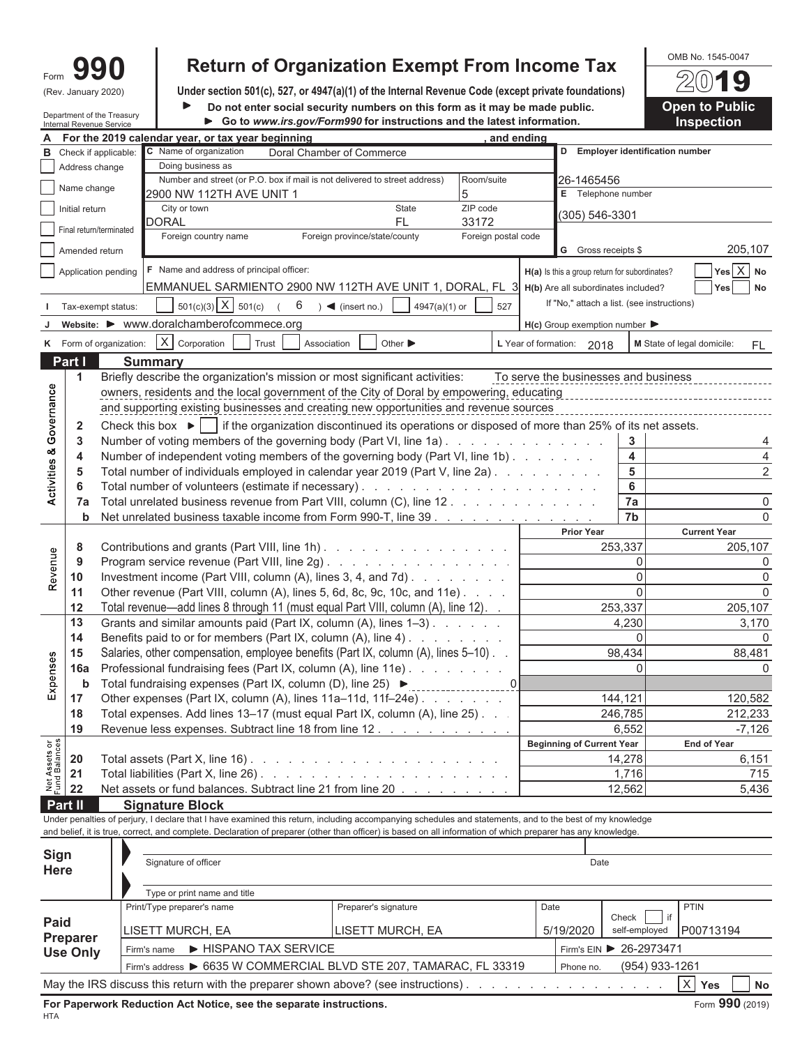| m |               |
|---|---------------|
|   | January 2020) |

# Form  $\mathbf{990}$  **Return of Organization Exempt From Income Tax** Depths to. 1545-0047<br>
Under section 501(c), 527, or 4947(a)(1) of the Internal Revenue Code (except private foundations)

Under section 501(c), 527, or 4947(a)(1) of the Internal Revenue Code (except private foundations)

public. **Do Disk in the Public** public.

| Do not enter social security numbers on this form as it may be made public. | <b>Open to Pub</b> |
|-----------------------------------------------------------------------------|--------------------|
| ► Go to www.irs.gov/Form990 for instructions and the latest information.    | <b>Inspection</b>  |

|                                | Department of the Treasury<br>Go to www.irs.gov/Form990 for instructions and the latest information.<br>Internal Revenue Service |                                                                |                                                                                                                                                              |                                                                                                        |                     |                      |                                               |                              |                            | <b>Inspection</b> |
|--------------------------------|----------------------------------------------------------------------------------------------------------------------------------|----------------------------------------------------------------|--------------------------------------------------------------------------------------------------------------------------------------------------------------|--------------------------------------------------------------------------------------------------------|---------------------|----------------------|-----------------------------------------------|------------------------------|----------------------------|-------------------|
|                                |                                                                                                                                  |                                                                | For the 2019 calendar year, or tax year beginning                                                                                                            |                                                                                                        | and ending          |                      |                                               |                              |                            |                   |
| в                              |                                                                                                                                  | Check if applicable:                                           | C Name of organization                                                                                                                                       | Doral Chamber of Commerce                                                                              |                     |                      | D Employer identification number              |                              |                            |                   |
|                                | Address change                                                                                                                   |                                                                | Doing business as                                                                                                                                            |                                                                                                        |                     |                      |                                               |                              |                            |                   |
|                                | Name change                                                                                                                      |                                                                |                                                                                                                                                              | Number and street (or P.O. box if mail is not delivered to street address)<br>Room/suite<br>26-1465456 |                     |                      |                                               |                              |                            |                   |
|                                |                                                                                                                                  |                                                                | 2900 NW 112TH AVE UNIT 1                                                                                                                                     |                                                                                                        | 5                   |                      | E Telephone number                            |                              |                            |                   |
|                                | Initial return                                                                                                                   |                                                                | City or town                                                                                                                                                 | <b>State</b>                                                                                           | ZIP code            |                      | (305) 546-3301                                |                              |                            |                   |
|                                |                                                                                                                                  | Final return/terminated                                        | DORAL                                                                                                                                                        | <b>FL</b>                                                                                              | 33172               |                      |                                               |                              |                            |                   |
|                                |                                                                                                                                  |                                                                | Foreign country name                                                                                                                                         | Foreign province/state/county                                                                          | Foreign postal code |                      |                                               |                              |                            |                   |
|                                | Amended return                                                                                                                   |                                                                |                                                                                                                                                              |                                                                                                        |                     |                      | G Gross receipts \$                           |                              |                            | 205,107           |
|                                |                                                                                                                                  | Application pending                                            | <b>F</b> Name and address of principal officer:                                                                                                              |                                                                                                        |                     |                      | H(a) Is this a group return for subordinates? |                              |                            | Yes X No          |
|                                |                                                                                                                                  |                                                                | EMMANUEL SARMIENTO 2900 NW 112TH AVE UNIT 1, DORAL, FL 3 H(b) Are all subordinates included?                                                                 |                                                                                                        |                     |                      |                                               |                              | Yes                        | No                |
|                                |                                                                                                                                  | Tax-exempt status:                                             | $501(c)(3)$ X $501(c)$<br>6                                                                                                                                  | 4947(a)(1) or<br>$) \blacktriangleleft$ (insert no.)                                                   | 527                 |                      | If "No," attach a list. (see instructions)    |                              |                            |                   |
|                                |                                                                                                                                  |                                                                | website: ▶ www.doralchamberofcommece.org                                                                                                                     |                                                                                                        |                     |                      |                                               |                              |                            |                   |
|                                |                                                                                                                                  |                                                                |                                                                                                                                                              |                                                                                                        |                     |                      | $H(c)$ Group exemption number                 |                              |                            |                   |
|                                |                                                                                                                                  | K Form of organization:                                        | $X$ Corporation<br>Trust<br>Association                                                                                                                      | Other $\blacktriangleright$                                                                            |                     | L Year of formation: | 2018                                          |                              | M State of legal domicile: | FL.               |
|                                | Part I                                                                                                                           |                                                                | <b>Summary</b>                                                                                                                                               |                                                                                                        |                     |                      |                                               |                              |                            |                   |
|                                | 1                                                                                                                                |                                                                | Briefly describe the organization's mission or most significant activities:                                                                                  |                                                                                                        |                     |                      | To serve the businesses and business          |                              |                            |                   |
|                                |                                                                                                                                  |                                                                | owners, residents and the local government of the City of Doral by empowering, educating                                                                     |                                                                                                        |                     |                      |                                               |                              |                            |                   |
| Governance                     |                                                                                                                                  |                                                                | and supporting existing businesses and creating new opportunities and revenue sources                                                                        |                                                                                                        |                     |                      |                                               |                              |                            |                   |
|                                | 2                                                                                                                                |                                                                | Check this box $\blacktriangleright$   if the organization discontinued its operations or disposed of more than 25% of its net assets.                       |                                                                                                        |                     |                      |                                               |                              |                            |                   |
|                                | 3                                                                                                                                |                                                                | Number of voting members of the governing body (Part VI, line 1a).                                                                                           |                                                                                                        |                     |                      |                                               | 3                            |                            | 4                 |
|                                | 4                                                                                                                                |                                                                | Number of independent voting members of the governing body (Part VI, line 1b)                                                                                |                                                                                                        |                     |                      |                                               | 4                            |                            | 4                 |
| <b>Activities &amp;</b>        | 5                                                                                                                                |                                                                | Total number of individuals employed in calendar year 2019 (Part V, line 2a)                                                                                 |                                                                                                        |                     |                      |                                               | 5                            |                            | $\overline{c}$    |
|                                | 6                                                                                                                                |                                                                |                                                                                                                                                              |                                                                                                        |                     |                      |                                               | 6                            |                            |                   |
|                                | 7a                                                                                                                               |                                                                | Total unrelated business revenue from Part VIII, column (C), line 12                                                                                         |                                                                                                        |                     |                      |                                               | 7a                           |                            | 0                 |
|                                | b                                                                                                                                |                                                                | Net unrelated business taxable income from Form 990-T, line 39                                                                                               |                                                                                                        |                     |                      |                                               | 7b                           |                            | $\Omega$          |
|                                |                                                                                                                                  |                                                                |                                                                                                                                                              |                                                                                                        |                     |                      | <b>Prior Year</b>                             |                              | <b>Current Year</b>        |                   |
|                                | 8                                                                                                                                |                                                                | Contributions and grants (Part VIII, line 1h).                                                                                                               |                                                                                                        |                     |                      | 253,337                                       |                              |                            | 205,107           |
| Revenue                        | 9                                                                                                                                |                                                                | Program service revenue (Part VIII, line 2g)                                                                                                                 |                                                                                                        |                     |                      |                                               | 0                            |                            | 0                 |
|                                | 10                                                                                                                               | Investment income (Part VIII, column (A), lines 3, 4, and 7d). |                                                                                                                                                              |                                                                                                        |                     |                      |                                               | $\Omega$                     |                            | 0                 |
|                                | 11                                                                                                                               |                                                                | Other revenue (Part VIII, column (A), lines 5, 6d, 8c, 9c, 10c, and 11e)                                                                                     |                                                                                                        |                     |                      |                                               | $\Omega$                     |                            | $\Omega$          |
|                                | 12                                                                                                                               |                                                                | Total revenue—add lines 8 through 11 (must equal Part VIII, column (A), line 12).                                                                            |                                                                                                        |                     |                      | 253,337                                       |                              |                            | 205,107           |
|                                | 13                                                                                                                               |                                                                | Grants and similar amounts paid (Part IX, column (A), lines 1-3)                                                                                             |                                                                                                        |                     |                      |                                               | 4,230                        |                            | 3,170             |
|                                | 14                                                                                                                               |                                                                | Benefits paid to or for members (Part IX, column (A), line 4)                                                                                                |                                                                                                        |                     |                      |                                               | 0                            |                            | 0                 |
|                                | 15                                                                                                                               |                                                                | Salaries, other compensation, employee benefits (Part IX, column (A), lines 5–10)                                                                            |                                                                                                        |                     |                      |                                               | 98,434                       |                            | 88,481            |
| Expenses                       | 16a                                                                                                                              |                                                                | Professional fundraising fees (Part IX, column (A), line 11e)                                                                                                |                                                                                                        |                     |                      |                                               | $\Omega$                     |                            | 0                 |
|                                | b                                                                                                                                |                                                                | Total fundraising expenses (Part IX, column (D), line 25) ▶                                                                                                  |                                                                                                        | 0                   |                      |                                               |                              |                            |                   |
|                                | 17                                                                                                                               |                                                                | Other expenses (Part IX, column (A), lines 11a-11d, 11f-24e)                                                                                                 |                                                                                                        |                     |                      | 144,121                                       |                              |                            | 120,582           |
|                                | 18                                                                                                                               |                                                                | Total expenses. Add lines 13-17 (must equal Part IX, column (A), line 25)                                                                                    |                                                                                                        |                     |                      |                                               | 246,785                      |                            | 212,233           |
|                                | 19                                                                                                                               |                                                                | Revenue less expenses. Subtract line 18 from line 12.                                                                                                        |                                                                                                        |                     |                      |                                               | 6,552                        |                            | $-7,126$          |
|                                |                                                                                                                                  |                                                                |                                                                                                                                                              |                                                                                                        |                     |                      | <b>Beginning of Current Year</b>              |                              | <b>End of Year</b>         |                   |
| Net Assets or<br>Fund Balances | 20                                                                                                                               |                                                                | Total assets (Part X, line 16) $\ldots$ $\ldots$ $\ldots$ $\ldots$ $\ldots$ $\ldots$ $\ldots$ $\ldots$ $\ldots$                                              |                                                                                                        |                     |                      |                                               | 14,278                       |                            | 6,151             |
|                                | 21                                                                                                                               |                                                                |                                                                                                                                                              |                                                                                                        |                     |                      |                                               | 1,716                        |                            | 715               |
|                                | 22                                                                                                                               |                                                                | Net assets or fund balances. Subtract line 21 from line 20                                                                                                   |                                                                                                        |                     |                      |                                               | 12,562                       |                            | 5,436             |
|                                | Part II                                                                                                                          |                                                                | <b>Signature Block</b>                                                                                                                                       |                                                                                                        |                     |                      |                                               |                              |                            |                   |
|                                |                                                                                                                                  |                                                                | Under penalties of perjury, I declare that I have examined this return, including accompanying schedules and statements, and to the best of my knowledge     |                                                                                                        |                     |                      |                                               |                              |                            |                   |
|                                |                                                                                                                                  |                                                                | and belief, it is true, correct, and complete. Declaration of preparer (other than officer) is based on all information of which preparer has any knowledge. |                                                                                                        |                     |                      |                                               |                              |                            |                   |
| <b>Sign</b>                    |                                                                                                                                  |                                                                |                                                                                                                                                              |                                                                                                        |                     |                      |                                               |                              |                            |                   |
| <b>Here</b>                    |                                                                                                                                  |                                                                | Signature of officer                                                                                                                                         |                                                                                                        |                     |                      | Date                                          |                              |                            |                   |
|                                |                                                                                                                                  |                                                                |                                                                                                                                                              |                                                                                                        |                     |                      |                                               |                              |                            |                   |
|                                |                                                                                                                                  |                                                                | Type or print name and title                                                                                                                                 |                                                                                                        |                     |                      |                                               |                              |                            |                   |
|                                |                                                                                                                                  |                                                                | Print/Type preparer's name                                                                                                                                   | Preparer's signature                                                                                   |                     | Date                 |                                               |                              | <b>PTIN</b>                |                   |
| Paid                           |                                                                                                                                  |                                                                | LISETT MURCH, EA                                                                                                                                             | LISETT MURCH, EA                                                                                       |                     |                      | 5/19/2020                                     | Check<br>if<br>self-employed | P00713194                  |                   |
|                                | <b>Preparer</b>                                                                                                                  |                                                                |                                                                                                                                                              |                                                                                                        |                     |                      |                                               |                              |                            |                   |
|                                | <b>Use Only</b>                                                                                                                  |                                                                | ▶ HISPANO TAX SERVICE<br>Firm's name                                                                                                                         |                                                                                                        |                     |                      | Firm's EIN ▶ 26-2973471                       |                              |                            |                   |
|                                |                                                                                                                                  |                                                                | Firm's address ▶ 6635 W COMMERCIAL BLVD STE 207, TAMARAC, FL 33319                                                                                           |                                                                                                        |                     |                      | Phone no.                                     | (954) 933-1261               |                            |                   |
|                                |                                                                                                                                  |                                                                | May the IRS discuss this return with the preparer shown above? (see instructions).                                                                           |                                                                                                        |                     |                      |                                               |                              | $\times$<br>Yes            | No                |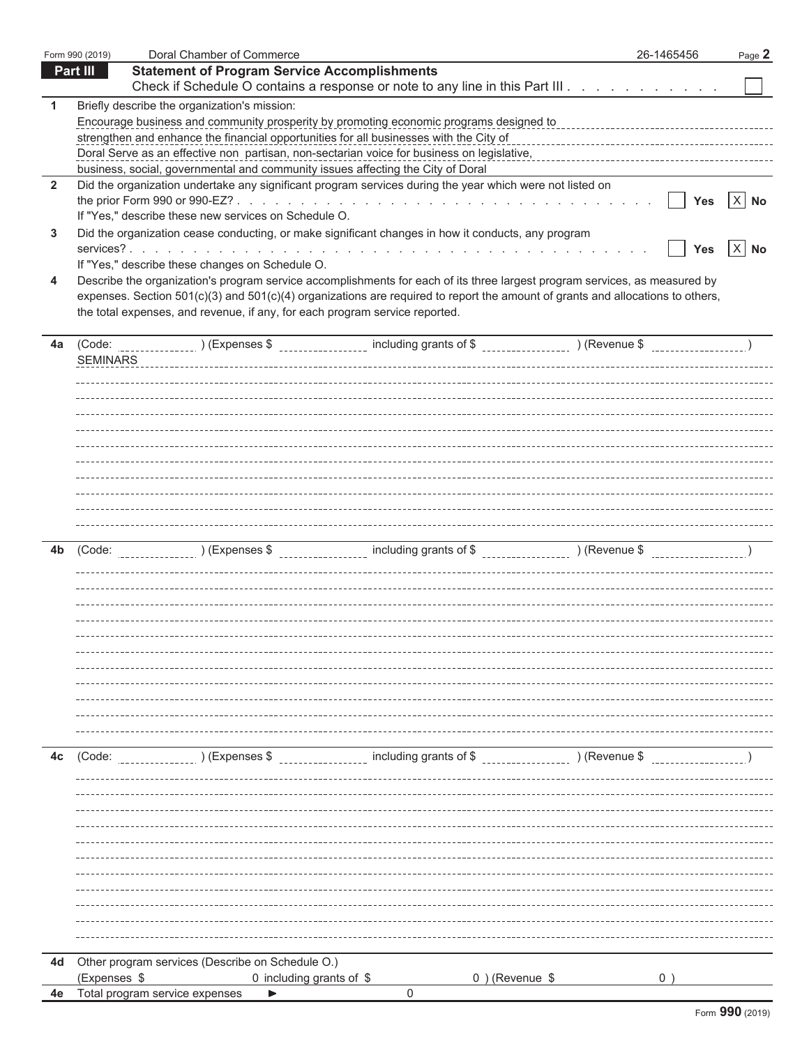|                | Form 990 (2019) | Doral Chamber of Commerce                                                                                                                                                                                                                                                                                                                                                                                                                         | 26-1465456 | Page 2         |
|----------------|-----------------|---------------------------------------------------------------------------------------------------------------------------------------------------------------------------------------------------------------------------------------------------------------------------------------------------------------------------------------------------------------------------------------------------------------------------------------------------|------------|----------------|
|                | Part III        | <b>Statement of Program Service Accomplishments</b><br>Check if Schedule O contains a response or note to any line in this Part III                                                                                                                                                                                                                                                                                                               |            |                |
| 1              |                 | Briefly describe the organization's mission:<br>Encourage business and community prosperity by promoting economic programs designed to<br>strengthen and enhance the financial opportunities for all businesses with the City of<br>Doral Serve as an effective non partisan, non-sectarian voice for business on legislative, encontances are response to the<br>business, social, governmental and community issues affecting the City of Doral |            |                |
| $\overline{2}$ |                 | Did the organization undertake any significant program services during the year which were not listed on<br>If "Yes," describe these new services on Schedule O.                                                                                                                                                                                                                                                                                  | <b>Yes</b> | $\times$<br>No |
| 3              |                 | Did the organization cease conducting, or make significant changes in how it conducts, any program<br>If "Yes," describe these changes on Schedule O.                                                                                                                                                                                                                                                                                             | <b>Yes</b> | $X$ No         |
| 4              |                 | Describe the organization's program service accomplishments for each of its three largest program services, as measured by<br>expenses. Section 501(c)(3) and 501(c)(4) organizations are required to report the amount of grants and allocations to others,<br>the total expenses, and revenue, if any, for each program service reported.                                                                                                       |            |                |
| 4a             | <b>SEMINARS</b> |                                                                                                                                                                                                                                                                                                                                                                                                                                                   |            |                |
|                |                 |                                                                                                                                                                                                                                                                                                                                                                                                                                                   |            |                |
|                |                 |                                                                                                                                                                                                                                                                                                                                                                                                                                                   |            |                |
| 4b             |                 |                                                                                                                                                                                                                                                                                                                                                                                                                                                   |            |                |
|                |                 |                                                                                                                                                                                                                                                                                                                                                                                                                                                   |            |                |
|                |                 |                                                                                                                                                                                                                                                                                                                                                                                                                                                   |            |                |
| 4c             |                 |                                                                                                                                                                                                                                                                                                                                                                                                                                                   |            |                |
|                |                 |                                                                                                                                                                                                                                                                                                                                                                                                                                                   |            |                |
|                |                 |                                                                                                                                                                                                                                                                                                                                                                                                                                                   |            |                |
|                |                 |                                                                                                                                                                                                                                                                                                                                                                                                                                                   |            |                |
|                |                 |                                                                                                                                                                                                                                                                                                                                                                                                                                                   |            |                |
| 4d             |                 | Other program services (Describe on Schedule O.)                                                                                                                                                                                                                                                                                                                                                                                                  |            |                |
| 4e             | (Expenses \$    | 0 including grants of \$<br>$0$ ) (Revenue \$<br>Total program service expenses<br>0                                                                                                                                                                                                                                                                                                                                                              | 0)         |                |
|                |                 |                                                                                                                                                                                                                                                                                                                                                                                                                                                   |            |                |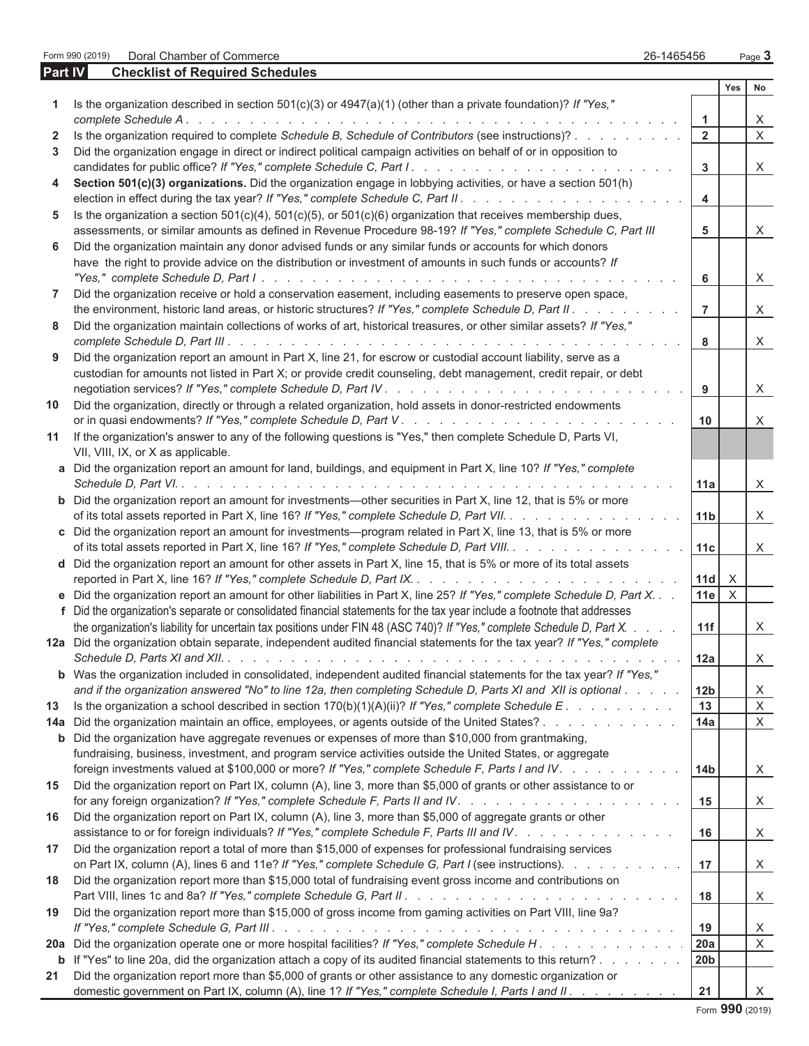Form 990 (2019) Doral Chamber of Commerce 26-1465456 Page **3**

| <b>Part IV</b> | <b>Checklist of Required Schedules</b>                                                                                                                                                                                               |                      |     |                         |
|----------------|--------------------------------------------------------------------------------------------------------------------------------------------------------------------------------------------------------------------------------------|----------------------|-----|-------------------------|
|                |                                                                                                                                                                                                                                      |                      | Yes | No                      |
| 1              | Is the organization described in section $501(c)(3)$ or $4947(a)(1)$ (other than a private foundation)? If "Yes,"                                                                                                                    |                      |     |                         |
|                | complete Schedule A.                                                                                                                                                                                                                 | $\blacktriangleleft$ |     | X                       |
| $\mathbf{2}$   | Is the organization required to complete Schedule B, Schedule of Contributors (see instructions)?                                                                                                                                    | $\overline{2}$       |     | X                       |
| 3              | Did the organization engage in direct or indirect political campaign activities on behalf of or in opposition to                                                                                                                     |                      |     |                         |
|                |                                                                                                                                                                                                                                      | 3                    |     | X                       |
| 4              | Section 501(c)(3) organizations. Did the organization engage in lobbying activities, or have a section 501(h)                                                                                                                        |                      |     |                         |
|                |                                                                                                                                                                                                                                      | 4                    |     |                         |
| 5              | Is the organization a section $501(c)(4)$ , $501(c)(5)$ , or $501(c)(6)$ organization that receives membership dues,                                                                                                                 |                      |     |                         |
|                | assessments, or similar amounts as defined in Revenue Procedure 98-19? If "Yes," complete Schedule C, Part III                                                                                                                       | 5                    |     | X                       |
| 6              | Did the organization maintain any donor advised funds or any similar funds or accounts for which donors                                                                                                                              |                      |     |                         |
|                | have the right to provide advice on the distribution or investment of amounts in such funds or accounts? If                                                                                                                          |                      |     |                         |
|                |                                                                                                                                                                                                                                      | 6                    |     | X                       |
| 7              | Did the organization receive or hold a conservation easement, including easements to preserve open space,                                                                                                                            |                      |     |                         |
|                | the environment, historic land areas, or historic structures? If "Yes," complete Schedule D, Part II.                                                                                                                                | $\overline{7}$       |     | X                       |
| 8              | Did the organization maintain collections of works of art, historical treasures, or other similar assets? If "Yes,"                                                                                                                  |                      |     |                         |
|                |                                                                                                                                                                                                                                      | 8                    |     | X                       |
| 9              | Did the organization report an amount in Part X, line 21, for escrow or custodial account liability, serve as a                                                                                                                      |                      |     |                         |
|                | custodian for amounts not listed in Part X; or provide credit counseling, debt management, credit repair, or debt                                                                                                                    |                      |     |                         |
|                |                                                                                                                                                                                                                                      | 9                    |     | X                       |
| 10             | Did the organization, directly or through a related organization, hold assets in donor-restricted endowments                                                                                                                         |                      |     |                         |
|                |                                                                                                                                                                                                                                      | 10                   |     | X                       |
| 11             | If the organization's answer to any of the following questions is "Yes," then complete Schedule D, Parts VI,                                                                                                                         |                      |     |                         |
|                | VII, VIII, IX, or X as applicable.                                                                                                                                                                                                   |                      |     |                         |
|                | a Did the organization report an amount for land, buildings, and equipment in Part X, line 10? If "Yes," complete                                                                                                                    |                      |     |                         |
|                |                                                                                                                                                                                                                                      | 11a                  |     | X                       |
|                | <b>b</b> Did the organization report an amount for investments—other securities in Part X, line 12, that is 5% or more                                                                                                               |                      |     |                         |
|                | of its total assets reported in Part X, line 16? If "Yes," complete Schedule D, Part VII.                                                                                                                                            | 11 <sub>b</sub>      |     | X                       |
|                | c Did the organization report an amount for investments—program related in Part X, line 13, that is 5% or more                                                                                                                       |                      |     |                         |
|                | of its total assets reported in Part X, line 16? If "Yes," complete Schedule D, Part VIII.                                                                                                                                           | 11c                  |     | X                       |
|                | d Did the organization report an amount for other assets in Part X, line 15, that is 5% or more of its total assets                                                                                                                  |                      |     |                         |
|                |                                                                                                                                                                                                                                      | 11d                  | X   |                         |
|                | e Did the organization report an amount for other liabilities in Part X, line 25? If "Yes," complete Schedule D, Part X.                                                                                                             | 11e                  | X   |                         |
|                | f Did the organization's separate or consolidated financial statements for the tax year include a footnote that addresses                                                                                                            |                      |     |                         |
|                | the organization's liability for uncertain tax positions under FIN 48 (ASC 740)? If "Yes," complete Schedule D, Part X.                                                                                                              | 11f                  |     | X                       |
|                | 12a Did the organization obtain separate, independent audited financial statements for the tax year? If "Yes," complete                                                                                                              |                      |     |                         |
|                | Schedule D. Parts XI and XII                                                                                                                                                                                                         | 12a                  |     |                         |
|                |                                                                                                                                                                                                                                      |                      |     | X                       |
|                | b Was the organization included in consolidated, independent audited financial statements for the tax year? If "Yes,"<br>and if the organization answered "No" to line 12a, then completing Schedule D, Parts XI and XII is optional |                      |     |                         |
|                |                                                                                                                                                                                                                                      | 12 <sub>b</sub>      |     | $X_{-}$<br>$\mathsf{X}$ |
| 13             | Is the organization a school described in section $170(b)(1)(A)(ii)$ ? If "Yes," complete Schedule E.                                                                                                                                | 13                   |     |                         |
| 14a            | Did the organization maintain an office, employees, or agents outside of the United States?                                                                                                                                          | 14a                  |     | X                       |
| b              | Did the organization have aggregate revenues or expenses of more than \$10,000 from grantmaking,                                                                                                                                     |                      |     |                         |
|                | fundraising, business, investment, and program service activities outside the United States, or aggregate                                                                                                                            |                      |     |                         |
|                | foreign investments valued at \$100,000 or more? If "Yes," complete Schedule F, Parts I and IV.                                                                                                                                      | 14 <sub>b</sub>      |     | X.                      |
| 15             | Did the organization report on Part IX, column (A), line 3, more than \$5,000 of grants or other assistance to or                                                                                                                    |                      |     |                         |
|                |                                                                                                                                                                                                                                      | 15                   |     | X                       |
| 16             | Did the organization report on Part IX, column (A), line 3, more than \$5,000 of aggregate grants or other                                                                                                                           |                      |     |                         |
|                | assistance to or for foreign individuals? If "Yes," complete Schedule F, Parts III and IV.                                                                                                                                           | 16                   |     | X.                      |
| 17             | Did the organization report a total of more than \$15,000 of expenses for professional fundraising services                                                                                                                          |                      |     |                         |
|                | on Part IX, column (A), lines 6 and 11e? If "Yes," complete Schedule G, Part I (see instructions).                                                                                                                                   | 17                   |     | X                       |
| 18             | Did the organization report more than \$15,000 total of fundraising event gross income and contributions on                                                                                                                          |                      |     |                         |
|                |                                                                                                                                                                                                                                      | 18                   |     | X.                      |
| 19             | Did the organization report more than \$15,000 of gross income from gaming activities on Part VIII, line 9a?                                                                                                                         |                      |     |                         |
|                |                                                                                                                                                                                                                                      | 19                   |     | X                       |
|                | 20a Did the organization operate one or more hospital facilities? If "Yes," complete Schedule H.                                                                                                                                     | 20a                  |     | X                       |
| b              | If "Yes" to line 20a, did the organization attach a copy of its audited financial statements to this return?                                                                                                                         | 20 <sub>b</sub>      |     |                         |
| 21             | Did the organization report more than \$5,000 of grants or other assistance to any domestic organization or                                                                                                                          |                      |     |                         |
|                | domestic government on Part IX, column (A), line 1? If "Yes," complete Schedule I, Parts I and II.                                                                                                                                   | 21                   |     | $\times$                |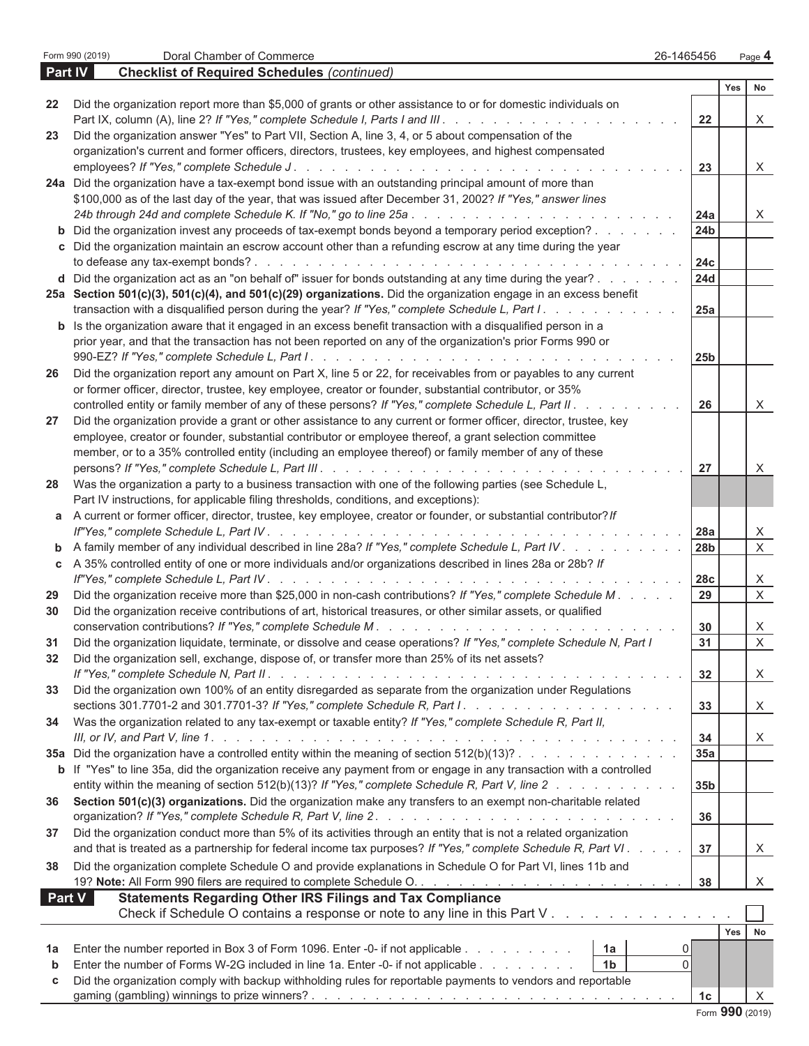$\begin{array}{c} \hline \end{array}$ 

|        |                                                                                                                                                                                                                                   |                 | Yes             | No           |
|--------|-----------------------------------------------------------------------------------------------------------------------------------------------------------------------------------------------------------------------------------|-----------------|-----------------|--------------|
| 22     | Did the organization report more than \$5,000 of grants or other assistance to or for domestic individuals on                                                                                                                     |                 |                 |              |
|        | Part IX, column (A), line 2? If "Yes," complete Schedule I, Parts I and III.                                                                                                                                                      | 22              |                 | X            |
| 23     | Did the organization answer "Yes" to Part VII, Section A, line 3, 4, or 5 about compensation of the                                                                                                                               |                 |                 |              |
|        | organization's current and former officers, directors, trustees, key employees, and highest compensated                                                                                                                           |                 |                 |              |
|        | 24a Did the organization have a tax-exempt bond issue with an outstanding principal amount of more than                                                                                                                           | 23              |                 | X            |
|        | \$100,000 as of the last day of the year, that was issued after December 31, 2002? If "Yes," answer lines                                                                                                                         |                 |                 |              |
|        |                                                                                                                                                                                                                                   | 24a             |                 | X            |
| b      | Did the organization invest any proceeds of tax-exempt bonds beyond a temporary period exception?                                                                                                                                 | 24 <sub>b</sub> |                 |              |
|        | c Did the organization maintain an escrow account other than a refunding escrow at any time during the year                                                                                                                       |                 |                 |              |
|        |                                                                                                                                                                                                                                   | 24c             |                 |              |
|        | d Did the organization act as an "on behalf of" issuer for bonds outstanding at any time during the year?                                                                                                                         | <b>24d</b>      |                 |              |
|        | 25a Section 501(c)(3), 501(c)(4), and 501(c)(29) organizations. Did the organization engage in an excess benefit                                                                                                                  |                 |                 |              |
|        | transaction with a disqualified person during the year? If "Yes," complete Schedule L, Part I.                                                                                                                                    | 25a             |                 |              |
|        | <b>b</b> Is the organization aware that it engaged in an excess benefit transaction with a disqualified person in a                                                                                                               |                 |                 |              |
|        | prior year, and that the transaction has not been reported on any of the organization's prior Forms 990 or                                                                                                                        |                 |                 |              |
|        |                                                                                                                                                                                                                                   | 25 <sub>b</sub> |                 |              |
| 26     | Did the organization report any amount on Part X, line 5 or 22, for receivables from or payables to any current                                                                                                                   |                 |                 |              |
|        | or former officer, director, trustee, key employee, creator or founder, substantial contributor, or 35%<br>controlled entity or family member of any of these persons? If "Yes," complete Schedule L, Part II.                    | 26              |                 | X            |
| 27     | Did the organization provide a grant or other assistance to any current or former officer, director, trustee, key                                                                                                                 |                 |                 |              |
|        | employee, creator or founder, substantial contributor or employee thereof, a grant selection committee                                                                                                                            |                 |                 |              |
|        | member, or to a 35% controlled entity (including an employee thereof) or family member of any of these                                                                                                                            |                 |                 |              |
|        |                                                                                                                                                                                                                                   | 27              |                 | X            |
| 28     | Was the organization a party to a business transaction with one of the following parties (see Schedule L,                                                                                                                         |                 |                 |              |
|        | Part IV instructions, for applicable filing thresholds, conditions, and exceptions):                                                                                                                                              |                 |                 |              |
| а      | A current or former officer, director, trustee, key employee, creator or founder, or substantial contributor? If                                                                                                                  |                 |                 |              |
|        | $\mathbf{r}$ . The set of the set of the set of the set of the set of the set of the set of the set of the set of the set of the set of the set of the set of the set of the set of the set of the set of the set of the set of t | 28a             |                 | X            |
| b      | A family member of any individual described in line 28a? If "Yes," complete Schedule L, Part IV.                                                                                                                                  | 28 <sub>b</sub> |                 | $\mathsf{X}$ |
| С      | A 35% controlled entity of one or more individuals and/or organizations described in lines 28a or 28b? If                                                                                                                         | 28 <sub>c</sub> |                 | X            |
| 29     | Did the organization receive more than \$25,000 in non-cash contributions? If "Yes," complete Schedule M.                                                                                                                         | 29              |                 | X            |
| 30     | Did the organization receive contributions of art, historical treasures, or other similar assets, or qualified                                                                                                                    |                 |                 |              |
|        |                                                                                                                                                                                                                                   | 30              |                 | X            |
| 31     | Did the organization liquidate, terminate, or dissolve and cease operations? If "Yes," complete Schedule N, Part I                                                                                                                | 31              |                 | X            |
| 32     | Did the organization sell, exchange, dispose of, or transfer more than 25% of its net assets?                                                                                                                                     |                 |                 |              |
|        |                                                                                                                                                                                                                                   | 32              |                 | X            |
| 33     | Did the organization own 100% of an entity disregarded as separate from the organization under Regulations                                                                                                                        |                 |                 |              |
|        |                                                                                                                                                                                                                                   | 33              |                 | X            |
| 34     | Was the organization related to any tax-exempt or taxable entity? If "Yes," complete Schedule R, Part II,                                                                                                                         |                 |                 |              |
|        | <b>35a</b> Did the organization have a controlled entity within the meaning of section $512(b)(13)?$ .                                                                                                                            | 34<br>35a       |                 | X.           |
|        | b If "Yes" to line 35a, did the organization receive any payment from or engage in any transaction with a controlled                                                                                                              |                 |                 |              |
|        | entity within the meaning of section 512(b)(13)? If "Yes," complete Schedule R, Part V, line 2                                                                                                                                    | 35 <sub>b</sub> |                 |              |
| 36     | Section 501(c)(3) organizations. Did the organization make any transfers to an exempt non-charitable related                                                                                                                      |                 |                 |              |
|        |                                                                                                                                                                                                                                   | 36              |                 |              |
| 37     | Did the organization conduct more than 5% of its activities through an entity that is not a related organization                                                                                                                  |                 |                 |              |
|        | and that is treated as a partnership for federal income tax purposes? If "Yes," complete Schedule R, Part VI.                                                                                                                     | 37              |                 | X.           |
| 38     | Did the organization complete Schedule O and provide explanations in Schedule O for Part VI, lines 11b and                                                                                                                        |                 |                 |              |
|        |                                                                                                                                                                                                                                   | 38              |                 | X            |
| Part V | <b>Statements Regarding Other IRS Filings and Tax Compliance</b>                                                                                                                                                                  |                 |                 |              |
|        | Check if Schedule O contains a response or note to any line in this Part V                                                                                                                                                        |                 |                 |              |
|        |                                                                                                                                                                                                                                   |                 | Yes             | No           |
| 1a     | Enter the number reported in Box 3 of Form 1096. Enter -0- if not applicable<br>1a<br>0<br>Enter the number of Forms W-2G included in line 1a. Enter -0- if not applicable<br>1 <sub>b</sub><br>$\Omega$                          |                 |                 |              |
| b<br>c | Did the organization comply with backup withholding rules for reportable payments to vendors and reportable                                                                                                                       |                 |                 |              |
|        |                                                                                                                                                                                                                                   | 1 <sub>c</sub>  |                 | $\sf X$      |
|        |                                                                                                                                                                                                                                   |                 | Form 990 (2019) |              |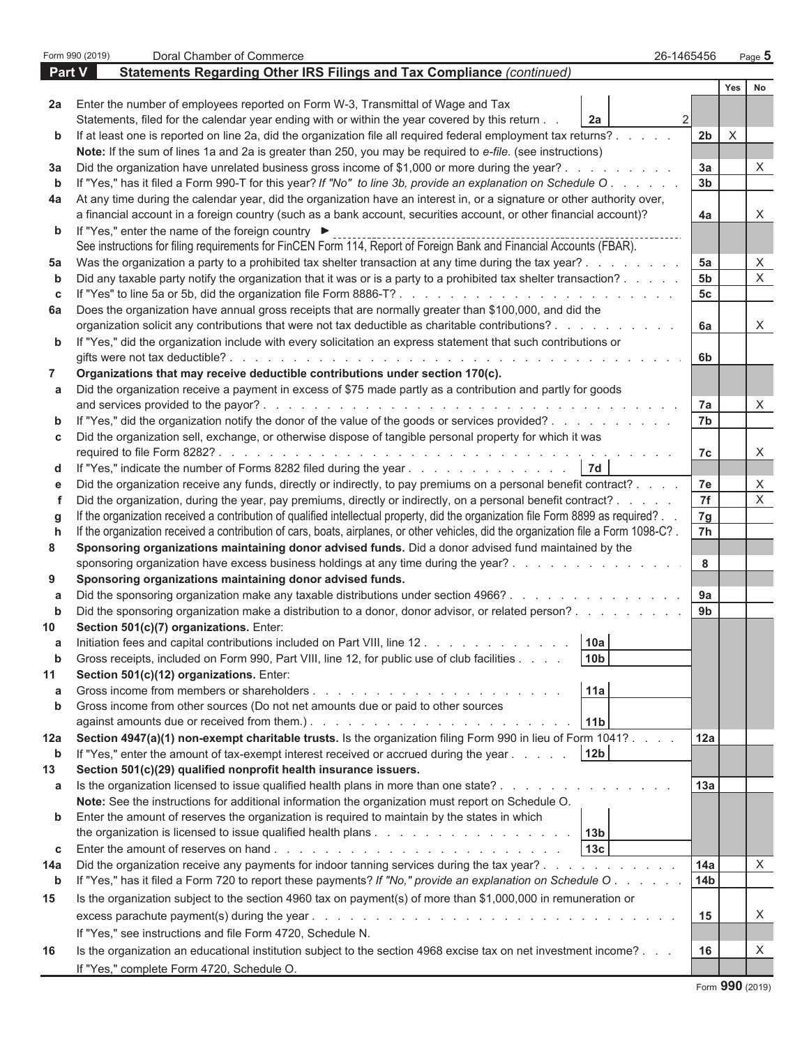|        | Form 990 (2019)<br>Doral Chamber of Commerce<br>26-1465456                                                                                                                                                                                       |                      |             | Page $5$     |
|--------|--------------------------------------------------------------------------------------------------------------------------------------------------------------------------------------------------------------------------------------------------|----------------------|-------------|--------------|
| Part V | Statements Regarding Other IRS Filings and Tax Compliance (continued)                                                                                                                                                                            |                      |             |              |
|        |                                                                                                                                                                                                                                                  |                      | Yes         | No           |
| 2a     | Enter the number of employees reported on Form W-3, Transmittal of Wage and Tax                                                                                                                                                                  |                      |             |              |
|        | Statements, filed for the calendar year ending with or within the year covered by this return<br>$\overline{2}$<br>2a                                                                                                                            |                      |             |              |
| b      | If at least one is reported on line 2a, did the organization file all required federal employment tax returns?                                                                                                                                   | 2 <sub>b</sub>       | $\mathsf X$ |              |
|        | Note: If the sum of lines 1a and 2a is greater than 250, you may be required to e-file. (see instructions)                                                                                                                                       |                      |             |              |
| За     | Did the organization have unrelated business gross income of \$1,000 or more during the year?                                                                                                                                                    | 3a<br>3 <sub>b</sub> |             | X            |
| b      | If "Yes," has it filed a Form 990-T for this year? If "No" to line 3b, provide an explanation on Schedule O.<br>At any time during the calendar year, did the organization have an interest in, or a signature or other authority over,          |                      |             |              |
| 4a     | a financial account in a foreign country (such as a bank account, securities account, or other financial account)?                                                                                                                               | 4a                   |             | X            |
| b      | If "Yes," enter the name of the foreign country ▶                                                                                                                                                                                                |                      |             |              |
|        | See instructions for filing requirements for FinCEN Form 114, Report of Foreign Bank and Financial Accounts (FBAR).                                                                                                                              |                      |             |              |
| 5a     | Was the organization a party to a prohibited tax shelter transaction at any time during the tax year?                                                                                                                                            | 5a                   |             | X            |
| b      | Did any taxable party notify the organization that it was or is a party to a prohibited tax shelter transaction?                                                                                                                                 | 5 <sub>b</sub>       |             | $\mathsf{X}$ |
| c      |                                                                                                                                                                                                                                                  | 5c                   |             |              |
| 6а     | Does the organization have annual gross receipts that are normally greater than \$100,000, and did the                                                                                                                                           |                      |             |              |
|        | organization solicit any contributions that were not tax deductible as charitable contributions?                                                                                                                                                 | 6a                   |             | X            |
| b      | If "Yes," did the organization include with every solicitation an express statement that such contributions or                                                                                                                                   |                      |             |              |
|        |                                                                                                                                                                                                                                                  | 6 <sub>b</sub>       |             |              |
| 7      | Organizations that may receive deductible contributions under section 170(c).                                                                                                                                                                    |                      |             |              |
| a      | Did the organization receive a payment in excess of \$75 made partly as a contribution and partly for goods                                                                                                                                      |                      |             |              |
|        |                                                                                                                                                                                                                                                  | 7a                   |             | X            |
| b      | If "Yes," did the organization notify the donor of the value of the goods or services provided?                                                                                                                                                  | 7b                   |             |              |
| c      | Did the organization sell, exchange, or otherwise dispose of tangible personal property for which it was                                                                                                                                         |                      |             |              |
|        |                                                                                                                                                                                                                                                  | 7c                   |             | X            |
| d      | 7d<br>If "Yes," indicate the number of Forms 8282 filed during the year.                                                                                                                                                                         |                      |             |              |
| e      | Did the organization receive any funds, directly or indirectly, to pay premiums on a personal benefit contract?                                                                                                                                  | 7e<br>7f             |             | X<br>X       |
| f      | Did the organization, during the year, pay premiums, directly or indirectly, on a personal benefit contract?<br>If the organization received a contribution of qualified intellectual property, did the organization file Form 8899 as required? | 7g                   |             |              |
| g<br>h | If the organization received a contribution of cars, boats, airplanes, or other vehicles, did the organization file a Form 1098-C?.                                                                                                              | 7 <sub>h</sub>       |             |              |
| 8      | Sponsoring organizations maintaining donor advised funds. Did a donor advised fund maintained by the                                                                                                                                             |                      |             |              |
|        | sponsoring organization have excess business holdings at any time during the year?                                                                                                                                                               | 8                    |             |              |
| 9      | Sponsoring organizations maintaining donor advised funds.                                                                                                                                                                                        |                      |             |              |
| a      | Did the sponsoring organization make any taxable distributions under section 4966?                                                                                                                                                               | 9a                   |             |              |
| b      | Did the sponsoring organization make a distribution to a donor, donor advisor, or related person?                                                                                                                                                | 9b                   |             |              |
| 10     | Section 501(c)(7) organizations. Enter:                                                                                                                                                                                                          |                      |             |              |
|        | 10a<br>Initiation fees and capital contributions included on Part VIII, line 12.                                                                                                                                                                 |                      |             |              |
| b      | Gross receipts, included on Form 990, Part VIII, line 12, for public use of club facilities<br>10 <sub>b</sub>                                                                                                                                   |                      |             |              |
| 11     | Section 501(c)(12) organizations. Enter:                                                                                                                                                                                                         |                      |             |              |
| a      | 11a                                                                                                                                                                                                                                              |                      |             |              |
| b      | Gross income from other sources (Do not net amounts due or paid to other sources                                                                                                                                                                 |                      |             |              |
|        | 11 <sub>b</sub>                                                                                                                                                                                                                                  |                      |             |              |
| 12a    | Section 4947(a)(1) non-exempt charitable trusts. Is the organization filing Form 990 in lieu of Form 1041?                                                                                                                                       | 12a                  |             |              |
| b      | 12 <sub>b</sub><br>If "Yes," enter the amount of tax-exempt interest received or accrued during the year                                                                                                                                         |                      |             |              |
| 13     | Section 501(c)(29) qualified nonprofit health insurance issuers.                                                                                                                                                                                 |                      |             |              |
| a      | Is the organization licensed to issue qualified health plans in more than one state?<br>Note: See the instructions for additional information the organization must report on Schedule O.                                                        | 13a                  |             |              |
| b      | Enter the amount of reserves the organization is required to maintain by the states in which                                                                                                                                                     |                      |             |              |
|        | 13 <sub>b</sub>                                                                                                                                                                                                                                  |                      |             |              |
| c      | 13 <sub>c</sub>                                                                                                                                                                                                                                  |                      |             |              |
| 14a    | Did the organization receive any payments for indoor tanning services during the tax year?                                                                                                                                                       | 14a                  |             | X            |
| b      | If "Yes," has it filed a Form 720 to report these payments? If "No," provide an explanation on Schedule O.                                                                                                                                       | 14 <sub>b</sub>      |             |              |
| 15     | Is the organization subject to the section 4960 tax on payment(s) of more than \$1,000,000 in remuneration or                                                                                                                                    |                      |             |              |
|        |                                                                                                                                                                                                                                                  | 15                   |             | X            |
|        | If "Yes," see instructions and file Form 4720, Schedule N.                                                                                                                                                                                       |                      |             |              |
| 16     | Is the organization an educational institution subject to the section 4968 excise tax on net investment income?                                                                                                                                  | 16                   |             | X            |
|        | If "Yes," complete Form 4720, Schedule O.                                                                                                                                                                                                        |                      |             |              |
|        |                                                                                                                                                                                                                                                  |                      |             |              |

Form **990** (2019)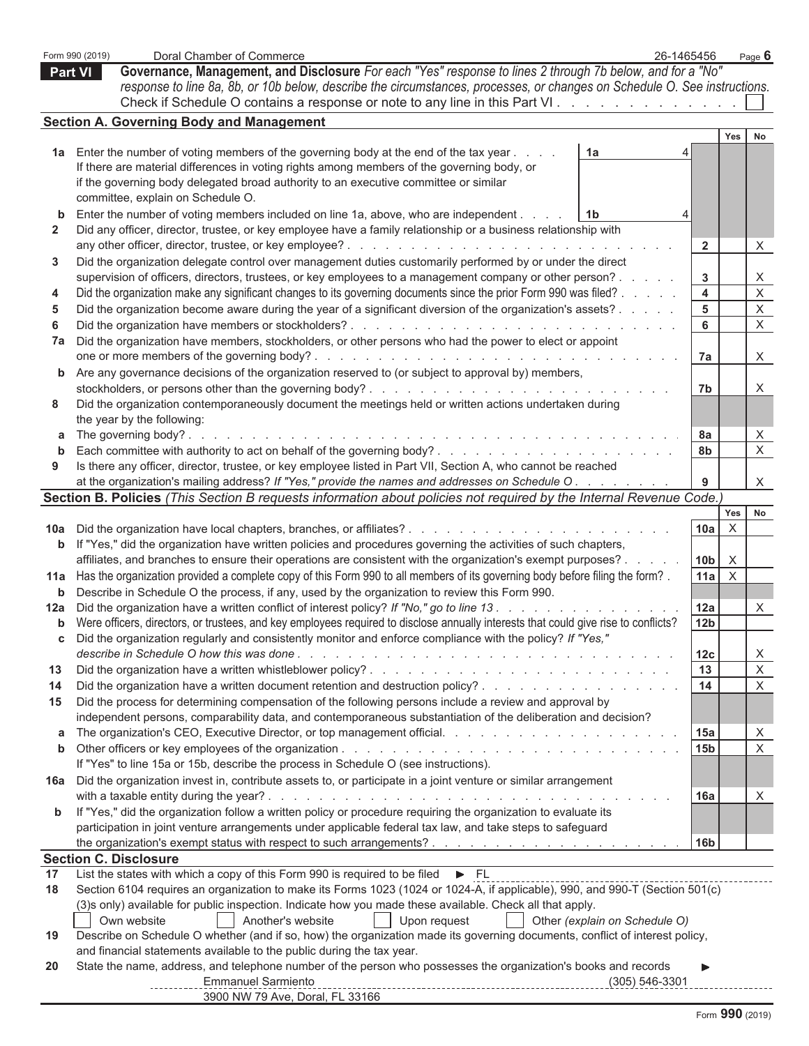|     | Form 990 (2019)<br>Doral Chamber of Commerce<br>26-1465456                                                                                                        |                       |              | Page 6                  |
|-----|-------------------------------------------------------------------------------------------------------------------------------------------------------------------|-----------------------|--------------|-------------------------|
|     | Governance, Management, and Disclosure For each "Yes" response to lines 2 through 7b below, and for a "No"<br>Part VI                                             |                       |              |                         |
|     | response to line 8a, 8b, or 10b below, describe the circumstances, processes, or changes on Schedule O. See instructions.                                         |                       |              |                         |
|     | Check if Schedule O contains a response or note to any line in this Part VI.                                                                                      |                       |              |                         |
|     | <b>Section A. Governing Body and Management</b>                                                                                                                   |                       |              |                         |
|     |                                                                                                                                                                   |                       | Yes          | No                      |
|     | 1a Enter the number of voting members of the governing body at the end of the tax year<br>1a                                                                      |                       |              |                         |
|     | If there are material differences in voting rights among members of the governing body, or                                                                        |                       |              |                         |
|     | if the governing body delegated broad authority to an executive committee or similar                                                                              |                       |              |                         |
|     | committee, explain on Schedule O.                                                                                                                                 |                       |              |                         |
| b   | Enter the number of voting members included on line 1a, above, who are independent<br>1b                                                                          |                       |              |                         |
| 2   | Did any officer, director, trustee, or key employee have a family relationship or a business relationship with                                                    |                       |              |                         |
| 3   | Did the organization delegate control over management duties customarily performed by or under the direct                                                         | $\mathbf{2}$          |              | X                       |
|     | supervision of officers, directors, trustees, or key employees to a management company or other person?                                                           | 3                     |              | X                       |
| 4   | Did the organization make any significant changes to its governing documents since the prior Form 990 was filed?                                                  | 4                     |              | $\overline{\mathsf{x}}$ |
| 5   | Did the organization become aware during the year of a significant diversion of the organization's assets?                                                        | 5                     |              | $\mathsf X$             |
| 6   |                                                                                                                                                                   | 6                     |              | $\mathsf X$             |
| 7a  | Did the organization have members, stockholders, or other persons who had the power to elect or appoint                                                           |                       |              |                         |
|     |                                                                                                                                                                   | 7a                    |              | X                       |
| b   | Are any governance decisions of the organization reserved to (or subject to approval by) members,                                                                 |                       |              |                         |
|     |                                                                                                                                                                   | 7b                    |              | X                       |
| 8   | Did the organization contemporaneously document the meetings held or written actions undertaken during                                                            |                       |              |                         |
|     | the year by the following:                                                                                                                                        |                       |              |                         |
| а   |                                                                                                                                                                   | 8a                    |              | $\overline{X}$          |
| b   |                                                                                                                                                                   | 8b                    |              | $\mathsf X$             |
| 9   | Is there any officer, director, trustee, or key employee listed in Part VII, Section A, who cannot be reached                                                     |                       |              |                         |
|     | at the organization's mailing address? If "Yes," provide the names and addresses on Schedule O.                                                                   | 9                     |              | X                       |
|     | Section B. Policies (This Section B requests information about policies not required by the Internal Revenue Code.)                                               |                       |              |                         |
|     |                                                                                                                                                                   |                       | Yes          | No                      |
|     |                                                                                                                                                                   | 10a                   | X            |                         |
| b   | If "Yes," did the organization have written policies and procedures governing the activities of such chapters,                                                    |                       |              |                         |
|     | affiliates, and branches to ensure their operations are consistent with the organization's exempt purposes? .                                                     | 10 <sub>b</sub>       | $\mathsf{X}$ |                         |
| 11a | Has the organization provided a complete copy of this Form 990 to all members of its governing body before filing the form?.                                      | 11a                   | $\sf X$      |                         |
| b   | Describe in Schedule O the process, if any, used by the organization to review this Form 990.                                                                     |                       |              |                         |
|     | 12a Did the organization have a written conflict of interest policy? If "No," go to line 13.                                                                      | 12a                   |              | X                       |
| b   | Were officers, directors, or trustees, and key employees required to disclose annually interests that could give rise to conflicts?                               | 12 <sub>b</sub>       |              |                         |
|     | Did the organization regularly and consistently monitor and enforce compliance with the policy? If "Yes,"                                                         |                       |              |                         |
| 13  |                                                                                                                                                                   | 12 <sub>c</sub><br>13 |              | X<br>$\mathsf X$        |
| 14  | Did the organization have a written document retention and destruction policy?                                                                                    | 14                    |              | $\mathsf X$             |
| 15  | Did the process for determining compensation of the following persons include a review and approval by                                                            |                       |              |                         |
|     | independent persons, comparability data, and contemporaneous substantiation of the deliberation and decision?                                                     |                       |              |                         |
| a   |                                                                                                                                                                   | 15a                   |              | $\mathsf{X}$            |
| b   |                                                                                                                                                                   | 15 <sub>b</sub>       |              | X                       |
|     | If "Yes" to line 15a or 15b, describe the process in Schedule O (see instructions).                                                                               |                       |              |                         |
| 16a | Did the organization invest in, contribute assets to, or participate in a joint venture or similar arrangement                                                    |                       |              |                         |
|     |                                                                                                                                                                   | 16a                   |              | X                       |
| b   | If "Yes," did the organization follow a written policy or procedure requiring the organization to evaluate its                                                    |                       |              |                         |
|     | participation in joint venture arrangements under applicable federal tax law, and take steps to safeguard                                                         |                       |              |                         |
|     |                                                                                                                                                                   | 16 <sub>b</sub>       |              |                         |
|     | <b>Section C. Disclosure</b>                                                                                                                                      |                       |              |                         |
| 17  | List the states with which a copy of this Form 990 is required to be filed<br>$\triangleright$ FL                                                                 |                       |              |                         |
| 18  | Section 6104 requires an organization to make its Forms 1023 (1024 or 1024-A, if applicable), 990, and 990-T (Section 501(c)                                      |                       |              |                         |
|     | (3)s only) available for public inspection. Indicate how you made these available. Check all that apply.                                                          |                       |              |                         |
|     | Own website<br>Another's website<br>Upon request<br>Other (explain on Schedule O)                                                                                 |                       |              |                         |
| 19  | Describe on Schedule O whether (and if so, how) the organization made its governing documents, conflict of interest policy,                                       |                       |              |                         |
|     | and financial statements available to the public during the tax year.                                                                                             |                       |              |                         |
| 20  | State the name, address, and telephone number of the person who possesses the organization's books and records<br><b>Emmanuel Sarmiento</b><br>$(305) 546 - 3301$ |                       |              |                         |
|     | 3900 NW 79 Ave, Doral, FL 33166                                                                                                                                   |                       |              |                         |
|     |                                                                                                                                                                   |                       |              |                         |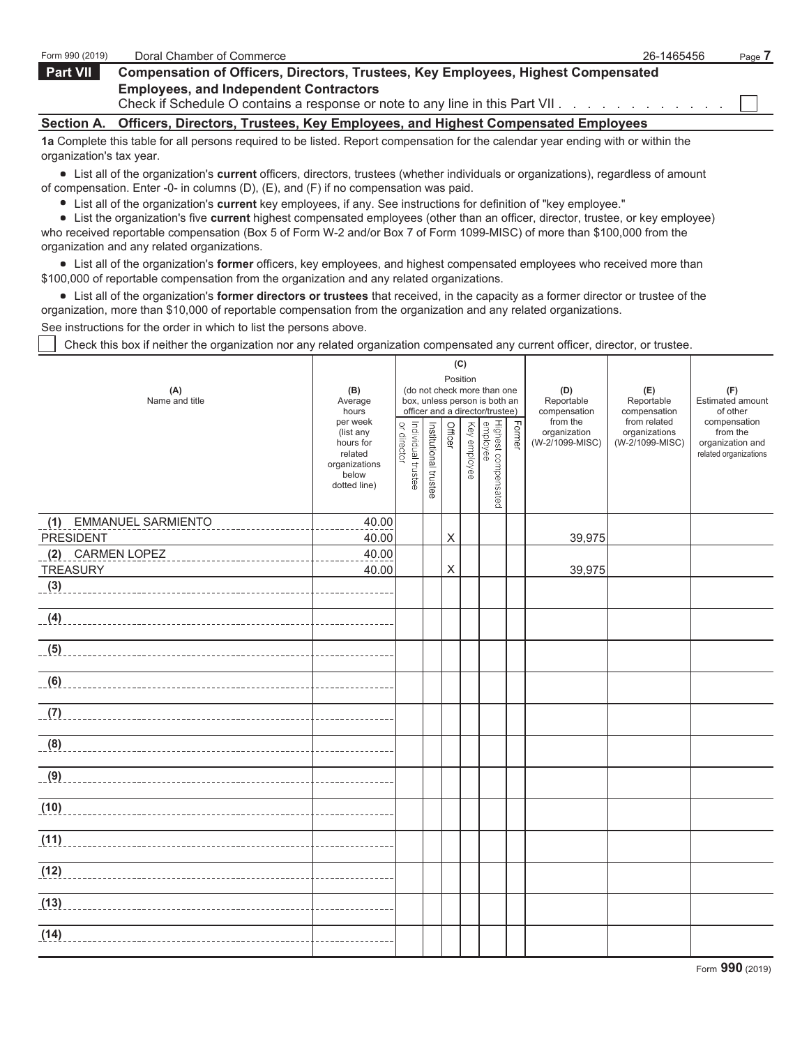| Form 990 (2019)                                                                                                                | Doral Chamber of Commerce                                                                                                           | 26-1465456 | Page 7 |  |  |  |  |  |  |  |
|--------------------------------------------------------------------------------------------------------------------------------|-------------------------------------------------------------------------------------------------------------------------------------|------------|--------|--|--|--|--|--|--|--|
| <b>Part VII</b>                                                                                                                | <b>Compensation of Officers, Directors, Trustees, Key Employees, Highest Compensated</b>                                            |            |        |  |  |  |  |  |  |  |
| <b>Employees, and Independent Contractors</b><br>Check if Schedule O contains a response or note to any line in this Part VII. |                                                                                                                                     |            |        |  |  |  |  |  |  |  |
|                                                                                                                                | Section A. Officers, Directors, Trustees, Key Employees, and Highest Compensated Employees                                          |            |        |  |  |  |  |  |  |  |
| organization's tax year.                                                                                                       | 1a Complete this table for all persons required to be listed. Report compensation for the calendar year ending with or within the   |            |        |  |  |  |  |  |  |  |
|                                                                                                                                | • List all of the organization's current officers, directors, trustees (whether individuals or organizations), regardless of amount |            |        |  |  |  |  |  |  |  |

- of compensation. Enter -0- in columns (D), (E), and (F) if no compensation was paid.
	- List all of the organization's **current** key employees, if any. See instructions for definition of "key employee."

List the organization's five **current** highest compensated employees (other than an officer, director, trustee, or key employee) who received reportable compensation (Box 5 of Form W-2 and/or Box 7 of Form 1099-MISC) of more than \$100,000 from the organization and any related organizations.

List all of the organization's **former** officers, key employees, and highest compensated employees who received more than \$100,000 of reportable compensation from the organization and any related organizations.

List all of the organization's **former directors or trustees** that received, in the capacity as a former director or trustee of the organization, more than \$10,000 of reportable compensation from the organization and any related organizations.

See instructions for the order in which to list the persons above.

Check this box if neither the organization nor any related organization compensated any current officer, director, or trustee.

| (A)<br>Name and title                | (B)<br>Average<br>hours<br>per week<br>or director<br>(list any<br>hours for<br>related<br>organizations<br>below<br>dotted line) |  |  |                           |  | (do not check more than one<br>box, unless person is both an<br>officer and a director/trustee)<br>i<br>  Highest compensated<br>  Key employee<br>  Key employee | <b>Former</b> | (D)<br>Reportable<br>compensation<br>from the<br>organization<br>(W-2/1099-MISC) | (E)<br>Reportable<br>compensation<br>from related<br>organizations<br>(W-2/1099-MISC) | (F)<br>Estimated amount<br>of other<br>compensation<br>from the<br>organization and<br>related organizations |
|--------------------------------------|-----------------------------------------------------------------------------------------------------------------------------------|--|--|---------------------------|--|-------------------------------------------------------------------------------------------------------------------------------------------------------------------|---------------|----------------------------------------------------------------------------------|---------------------------------------------------------------------------------------|--------------------------------------------------------------------------------------------------------------|
| <b>EMMANUEL SARMIENTO</b><br>(1)     | 40.00                                                                                                                             |  |  |                           |  |                                                                                                                                                                   |               |                                                                                  |                                                                                       |                                                                                                              |
| <b>PRESIDENT</b><br>(2) CARMEN LOPEZ | 40.00<br>40.00                                                                                                                    |  |  | $\boldsymbol{\mathsf{X}}$ |  |                                                                                                                                                                   |               | 39,975                                                                           |                                                                                       |                                                                                                              |
| <b>TREASURY</b>                      | 40.00                                                                                                                             |  |  | Χ                         |  |                                                                                                                                                                   |               | 39,975                                                                           |                                                                                       |                                                                                                              |
| (3)                                  |                                                                                                                                   |  |  |                           |  |                                                                                                                                                                   |               |                                                                                  |                                                                                       |                                                                                                              |
|                                      | _______________                                                                                                                   |  |  |                           |  |                                                                                                                                                                   |               |                                                                                  |                                                                                       |                                                                                                              |
|                                      | <u>-----------</u>                                                                                                                |  |  |                           |  |                                                                                                                                                                   |               |                                                                                  |                                                                                       |                                                                                                              |
|                                      | -----------                                                                                                                       |  |  |                           |  |                                                                                                                                                                   |               |                                                                                  |                                                                                       |                                                                                                              |
| (7)                                  | <u> - - - - - - - -</u>                                                                                                           |  |  |                           |  |                                                                                                                                                                   |               |                                                                                  |                                                                                       |                                                                                                              |
|                                      |                                                                                                                                   |  |  |                           |  |                                                                                                                                                                   |               |                                                                                  |                                                                                       |                                                                                                              |
| $\frac{1}{2}$                        |                                                                                                                                   |  |  |                           |  |                                                                                                                                                                   |               |                                                                                  |                                                                                       |                                                                                                              |
| (10)                                 |                                                                                                                                   |  |  |                           |  |                                                                                                                                                                   |               |                                                                                  |                                                                                       |                                                                                                              |
| (11)                                 |                                                                                                                                   |  |  |                           |  |                                                                                                                                                                   |               |                                                                                  |                                                                                       |                                                                                                              |
|                                      |                                                                                                                                   |  |  |                           |  |                                                                                                                                                                   |               |                                                                                  |                                                                                       |                                                                                                              |
| (13)                                 |                                                                                                                                   |  |  |                           |  |                                                                                                                                                                   |               |                                                                                  |                                                                                       |                                                                                                              |
| (14)                                 |                                                                                                                                   |  |  |                           |  |                                                                                                                                                                   |               |                                                                                  |                                                                                       |                                                                                                              |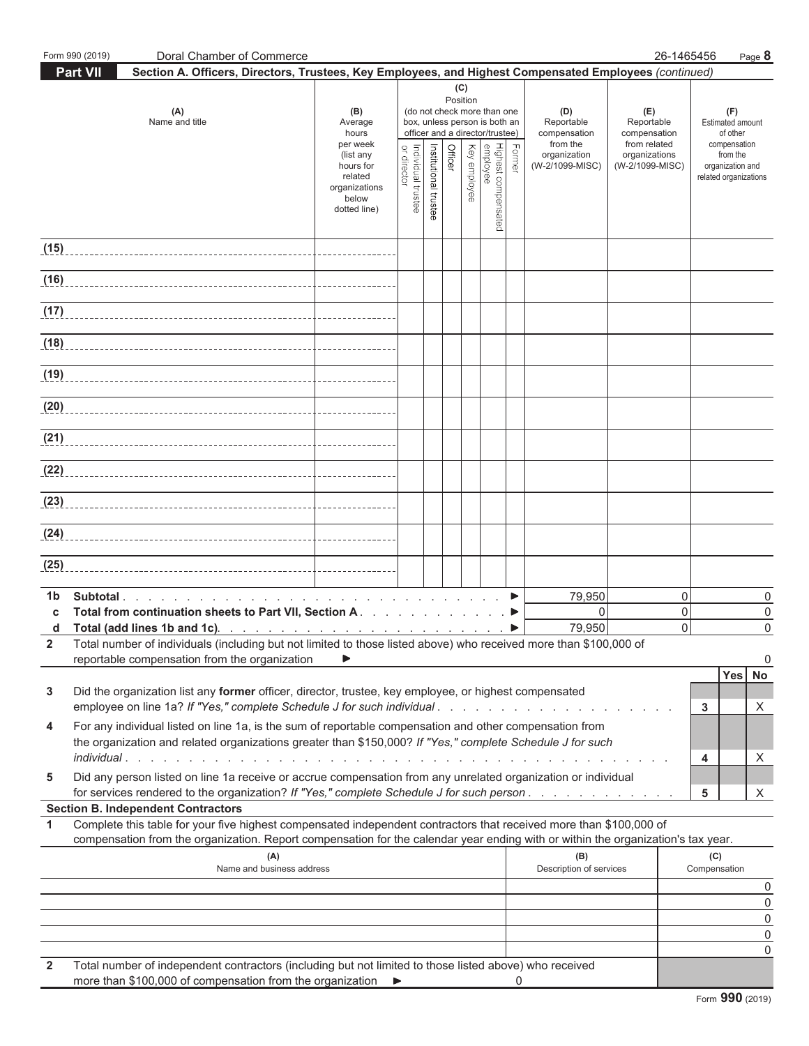|                           | Form 990 (2019) | Doral Chamber of Commerce                                                                                                                                                                                                                              |                                                                                                                    |                                   |                       |         |                 |                                                                                                                                                        |        |                                                                                  | 26-1465456                                                                            |                                                                                                              | Page 8                  |
|---------------------------|-----------------|--------------------------------------------------------------------------------------------------------------------------------------------------------------------------------------------------------------------------------------------------------|--------------------------------------------------------------------------------------------------------------------|-----------------------------------|-----------------------|---------|-----------------|--------------------------------------------------------------------------------------------------------------------------------------------------------|--------|----------------------------------------------------------------------------------|---------------------------------------------------------------------------------------|--------------------------------------------------------------------------------------------------------------|-------------------------|
|                           | Part VII        | Section A. Officers, Directors, Trustees, Key Employees, and Highest Compensated Employees (continued)                                                                                                                                                 |                                                                                                                    |                                   |                       |         |                 |                                                                                                                                                        |        |                                                                                  |                                                                                       |                                                                                                              |                         |
|                           |                 | (A)<br>Name and title                                                                                                                                                                                                                                  | (B)<br>Average<br>hours<br>per week<br>(list any<br>hours for<br>related<br>organizations<br>below<br>dotted line) | Individual trustee<br>or director | Institutional trustee | Officer | (C)<br>Position | (do not check more than one<br>box, unless person is both an<br>officer and a director/trustee)<br>Highest compensated<br>  employee<br>  Key employee | Former | (D)<br>Reportable<br>compensation<br>from the<br>organization<br>(W-2/1099-MISC) | (E)<br>Reportable<br>compensation<br>from related<br>organizations<br>(W-2/1099-MISC) | (F)<br>Estimated amount<br>of other<br>compensation<br>from the<br>organization and<br>related organizations |                         |
| (15)                      |                 |                                                                                                                                                                                                                                                        |                                                                                                                    |                                   |                       |         |                 |                                                                                                                                                        |        |                                                                                  |                                                                                       |                                                                                                              |                         |
|                           |                 |                                                                                                                                                                                                                                                        |                                                                                                                    |                                   |                       |         |                 |                                                                                                                                                        |        |                                                                                  |                                                                                       |                                                                                                              |                         |
| (17)                      |                 |                                                                                                                                                                                                                                                        |                                                                                                                    |                                   |                       |         |                 |                                                                                                                                                        |        |                                                                                  |                                                                                       |                                                                                                              |                         |
|                           |                 |                                                                                                                                                                                                                                                        |                                                                                                                    |                                   |                       |         |                 |                                                                                                                                                        |        |                                                                                  |                                                                                       |                                                                                                              |                         |
|                           |                 |                                                                                                                                                                                                                                                        |                                                                                                                    |                                   |                       |         |                 |                                                                                                                                                        |        |                                                                                  |                                                                                       |                                                                                                              |                         |
|                           |                 |                                                                                                                                                                                                                                                        |                                                                                                                    |                                   |                       |         |                 |                                                                                                                                                        |        |                                                                                  |                                                                                       |                                                                                                              |                         |
|                           |                 | (21)                                                                                                                                                                                                                                                   |                                                                                                                    |                                   |                       |         |                 |                                                                                                                                                        |        |                                                                                  |                                                                                       |                                                                                                              |                         |
|                           |                 |                                                                                                                                                                                                                                                        |                                                                                                                    |                                   |                       |         |                 |                                                                                                                                                        |        |                                                                                  |                                                                                       |                                                                                                              |                         |
|                           |                 |                                                                                                                                                                                                                                                        |                                                                                                                    |                                   |                       |         |                 |                                                                                                                                                        |        |                                                                                  |                                                                                       |                                                                                                              |                         |
| (24)                      |                 |                                                                                                                                                                                                                                                        |                                                                                                                    |                                   |                       |         |                 |                                                                                                                                                        |        |                                                                                  |                                                                                       |                                                                                                              |                         |
| (25)                      |                 |                                                                                                                                                                                                                                                        |                                                                                                                    |                                   |                       |         |                 |                                                                                                                                                        |        |                                                                                  |                                                                                       |                                                                                                              |                         |
| 1 <sub>b</sub><br>C.<br>d |                 | Total from continuation sheets to Part VII, Section A. ▶<br>Total number of individuals (including but not limited to those listed above) who received more than \$100,000 of<br>reportable compensation from the organization                         | ▶                                                                                                                  |                                   |                       |         |                 |                                                                                                                                                        | ▶      | 79,950<br>$\mathbf{0}$<br>79,950                                                 | 0<br>0<br>0                                                                           |                                                                                                              | 0<br>0<br>$\Omega$<br>0 |
| 3                         |                 | Did the organization list any former officer, director, trustee, key employee, or highest compensated<br>employee on line 1a? If "Yes," complete Schedule J for such individual                                                                        |                                                                                                                    |                                   |                       |         |                 |                                                                                                                                                        |        |                                                                                  |                                                                                       | <b>Yes</b><br>3                                                                                              | No<br>X                 |
| 4                         |                 | For any individual listed on line 1a, is the sum of reportable compensation and other compensation from<br>the organization and related organizations greater than \$150,000? If "Yes," complete Schedule J for such<br><i>individual</i>              |                                                                                                                    |                                   |                       |         |                 |                                                                                                                                                        |        |                                                                                  |                                                                                       | 4                                                                                                            | X                       |
| 5                         |                 | Did any person listed on line 1a receive or accrue compensation from any unrelated organization or individual<br>for services rendered to the organization? If "Yes," complete Schedule J for such person                                              |                                                                                                                    |                                   |                       |         |                 |                                                                                                                                                        |        |                                                                                  |                                                                                       | 5                                                                                                            | X                       |
|                           |                 | <b>Section B. Independent Contractors</b>                                                                                                                                                                                                              |                                                                                                                    |                                   |                       |         |                 |                                                                                                                                                        |        |                                                                                  |                                                                                       |                                                                                                              |                         |
| $\mathbf{1}$              |                 | Complete this table for your five highest compensated independent contractors that received more than \$100,000 of<br>compensation from the organization. Report compensation for the calendar year ending with or within the organization's tax year. |                                                                                                                    |                                   |                       |         |                 |                                                                                                                                                        |        |                                                                                  |                                                                                       |                                                                                                              |                         |
|                           |                 | (A)<br>Name and business address                                                                                                                                                                                                                       |                                                                                                                    |                                   |                       |         |                 |                                                                                                                                                        |        | (B)<br>Description of services                                                   |                                                                                       | (C)<br>Compensation                                                                                          |                         |
|                           |                 |                                                                                                                                                                                                                                                        |                                                                                                                    |                                   |                       |         |                 |                                                                                                                                                        |        |                                                                                  |                                                                                       |                                                                                                              | 0                       |
|                           |                 |                                                                                                                                                                                                                                                        |                                                                                                                    |                                   |                       |         |                 |                                                                                                                                                        |        |                                                                                  |                                                                                       |                                                                                                              | $\mathbf 0$             |
|                           |                 |                                                                                                                                                                                                                                                        |                                                                                                                    |                                   |                       |         |                 |                                                                                                                                                        |        |                                                                                  |                                                                                       |                                                                                                              | $\mathsf 0$             |
|                           |                 |                                                                                                                                                                                                                                                        |                                                                                                                    |                                   |                       |         |                 |                                                                                                                                                        |        |                                                                                  |                                                                                       |                                                                                                              | $\mathsf{0}$<br>0       |
| $\overline{2}$            |                 | Total number of independent contractors (including but not limited to those listed above) who received<br>more than \$100,000 of compensation from the organization ▶                                                                                  |                                                                                                                    |                                   |                       |         |                 |                                                                                                                                                        | 0      |                                                                                  |                                                                                       |                                                                                                              |                         |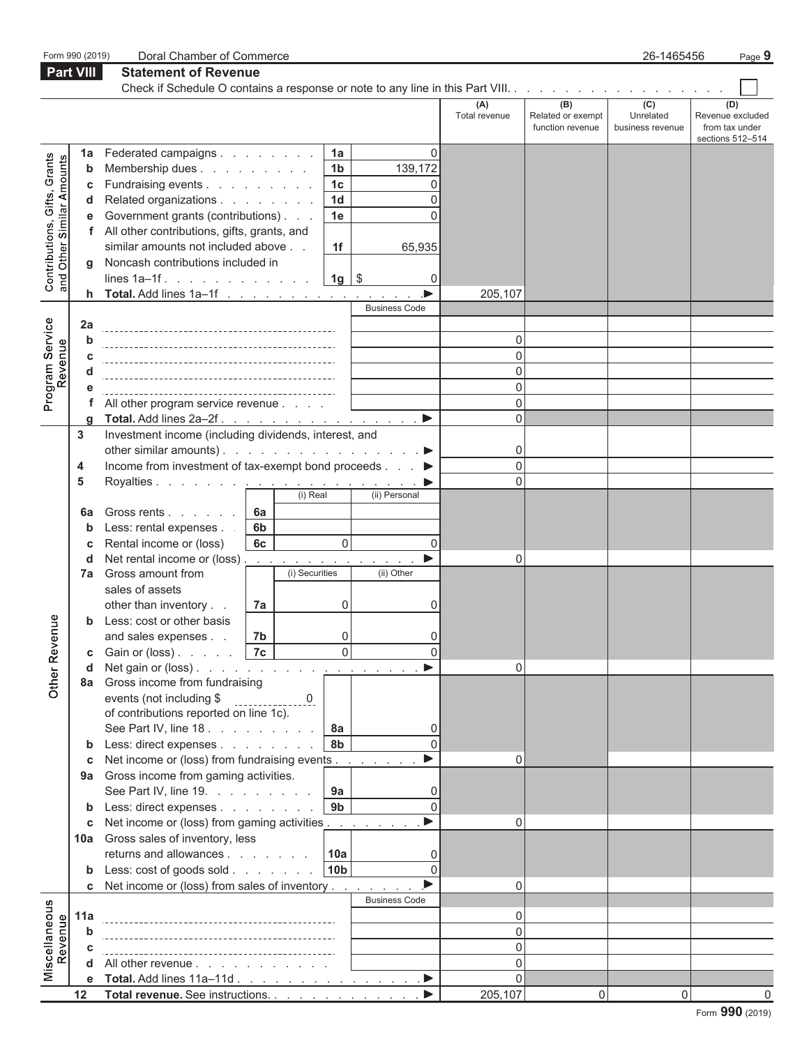|                                                           | Form 990 (2019)  | Doral Chamber of Commerce                                                        |                   |                |                                  |                         |                      |                          | 26-1465456                    | Page $9$                |
|-----------------------------------------------------------|------------------|----------------------------------------------------------------------------------|-------------------|----------------|----------------------------------|-------------------------|----------------------|--------------------------|-------------------------------|-------------------------|
|                                                           | <b>Part VIII</b> | <b>Statement of Revenue</b>                                                      |                   |                |                                  |                         |                      |                          |                               |                         |
|                                                           |                  |                                                                                  |                   |                |                                  |                         |                      |                          |                               |                         |
|                                                           |                  |                                                                                  |                   |                |                                  |                         | (A)<br>Total revenue | (B)<br>Related or exempt | $\overline{(c)}$<br>Unrelated | (D)<br>Revenue excluded |
|                                                           |                  |                                                                                  |                   |                |                                  |                         |                      | function revenue         | business revenue              | from tax under          |
|                                                           |                  |                                                                                  |                   |                |                                  |                         |                      |                          |                               | sections 512-514        |
|                                                           | 1a               | Federated campaigns                                                              |                   |                | 1a                               | 0                       |                      |                          |                               |                         |
|                                                           | b                | Membership dues                                                                  |                   |                | 1 <sub>b</sub>                   | 139,172                 |                      |                          |                               |                         |
|                                                           | C                | Fundraising events<br>Related organizations                                      |                   |                | 1 <sub>c</sub><br>1 <sub>d</sub> | 0<br>0                  |                      |                          |                               |                         |
| Contributions, Gifts, Grants<br>and Other Similar Amounts | d                |                                                                                  |                   |                | 1e                               | 0                       |                      |                          |                               |                         |
|                                                           | e                | Government grants (contributions)<br>All other contributions, gifts, grants, and |                   |                |                                  |                         |                      |                          |                               |                         |
|                                                           | f                | similar amounts not included above                                               |                   |                | 1f                               | 65,935                  |                      |                          |                               |                         |
|                                                           | a                | Noncash contributions included in                                                |                   |                |                                  |                         |                      |                          |                               |                         |
|                                                           |                  | lines 1a–1f.   1g   \$                                                           |                   |                |                                  | $\Omega$                |                      |                          |                               |                         |
|                                                           |                  | <b>h</b> Total. Add lines $1a-1f$                                                |                   |                |                                  |                         | 205,107              |                          |                               |                         |
|                                                           |                  |                                                                                  |                   |                |                                  | <b>Business Code</b>    |                      |                          |                               |                         |
|                                                           | 2a               |                                                                                  |                   |                |                                  |                         |                      |                          |                               |                         |
|                                                           | b                |                                                                                  |                   |                |                                  |                         | 0                    |                          |                               |                         |
|                                                           | C                |                                                                                  |                   |                |                                  |                         | 0                    |                          |                               |                         |
| Program Service<br>Revenue                                | d                |                                                                                  |                   |                |                                  |                         | 0                    |                          |                               |                         |
|                                                           |                  |                                                                                  |                   |                |                                  |                         | $\mathbf 0$          |                          |                               |                         |
|                                                           | f                | All other program service revenue                                                |                   |                |                                  |                         | $\Omega$             |                          |                               |                         |
|                                                           | q                | Total. Add lines 2a-2f                                                           |                   |                |                                  | ▶                       | $\Omega$             |                          |                               |                         |
|                                                           | 3                | Investment income (including dividends, interest, and                            |                   |                |                                  |                         |                      |                          |                               |                         |
|                                                           |                  | other similar amounts). $\ldots$ $\ldots$ $\ldots$ $\ldots$ $\ldots$ $\ldots$    |                   |                |                                  |                         | 0                    |                          |                               |                         |
|                                                           | 4                | Income from investment of tax-exempt bond proceeds ▶                             |                   |                |                                  |                         | $\overline{0}$       |                          |                               |                         |
|                                                           | 5                | Royalties. <u>.</u>                                                              |                   |                |                                  | $\sim 100$ km s $^{-1}$ | $\Omega$             |                          |                               |                         |
|                                                           |                  |                                                                                  |                   | (i) Real       |                                  | (ii) Personal           |                      |                          |                               |                         |
|                                                           | 6а               | Gross rents                                                                      | 6a                |                |                                  |                         |                      |                          |                               |                         |
|                                                           | b                | Less: rental expenses.                                                           | 6 <sub>b</sub>    |                |                                  |                         |                      |                          |                               |                         |
|                                                           | С                | Rental income or (loss)                                                          | 6c                |                | 0                                | $\mathbf 0$             |                      |                          |                               |                         |
|                                                           | d                | Net rental income or (loss).                                                     | <b>Contractor</b> | (i) Securities |                                  | (ii) Other              | 0                    |                          |                               |                         |
|                                                           | 7a               | Gross amount from<br>sales of assets                                             |                   |                |                                  |                         |                      |                          |                               |                         |
|                                                           |                  | other than inventory                                                             | 7a                |                | 0                                | 0                       |                      |                          |                               |                         |
|                                                           |                  | Less: cost or other basis                                                        |                   |                |                                  |                         |                      |                          |                               |                         |
| gun                                                       |                  | and sales expenses                                                               | 7 <sub>b</sub>    |                | 0                                |                         |                      |                          |                               |                         |
|                                                           | С                | Gain or (loss) $\ldots$ $\ldots$                                                 | <b>7c</b>         |                |                                  | $\Omega$                |                      |                          |                               |                         |
|                                                           | d                | Net gain or $(\text{loss})$ .                                                    |                   |                |                                  |                         | $\Omega$             |                          |                               |                         |
| Other Reve                                                | 8a               | Gross income from fundraising                                                    |                   |                |                                  |                         |                      |                          |                               |                         |
|                                                           |                  | events (not including \$                                                         |                   | $\overline{0}$ |                                  |                         |                      |                          |                               |                         |
|                                                           |                  | of contributions reported on line 1c).                                           |                   |                |                                  |                         |                      |                          |                               |                         |
|                                                           |                  | See Part IV, line 18.                                                            |                   |                | 8a                               | 0                       |                      |                          |                               |                         |
|                                                           | b                | Less: direct expenses                                                            |                   |                | 8b                               | $\Omega$                |                      |                          |                               |                         |
|                                                           | С                | Net income or (loss) from fundraising events                                     |                   |                |                                  | ь                       | 0                    |                          |                               |                         |
|                                                           | 9а               | Gross income from gaming activities.                                             |                   |                |                                  |                         |                      |                          |                               |                         |
|                                                           |                  | See Part IV, line 19. $\ldots$ $\ldots$ $\ldots$                                 |                   |                | 9a                               | 0                       |                      |                          |                               |                         |
|                                                           | b                | Less: direct expenses                                                            |                   |                | 9 <sub>b</sub>                   | $\Omega$                |                      |                          |                               |                         |
|                                                           | С                | Net income or (loss) from gaming activities                                      |                   |                |                                  |                         | 0                    |                          |                               |                         |
|                                                           | 10a              | Gross sales of inventory, less                                                   |                   |                |                                  |                         |                      |                          |                               |                         |
|                                                           |                  | returns and allowances                                                           |                   |                | 10a                              | 0<br>$\Omega$           |                      |                          |                               |                         |
|                                                           | b                | Less: cost of goods sold                                                         |                   |                | 10 <sub>b</sub>                  |                         |                      |                          |                               |                         |
|                                                           | c                | Net income or (loss) from sales of inventory                                     |                   |                |                                  | <b>Business Code</b>    | 0                    |                          |                               |                         |
| Miscellaneous                                             | 11a              |                                                                                  |                   |                |                                  |                         | 0                    |                          |                               |                         |
| Revenue                                                   | b                |                                                                                  |                   |                |                                  |                         | 0                    |                          |                               |                         |
|                                                           | C                |                                                                                  |                   |                |                                  |                         | $\mathbf{0}$         |                          |                               |                         |
|                                                           | d                | All other revenue                                                                |                   |                |                                  |                         | $\Omega$             |                          |                               |                         |
|                                                           | е                |                                                                                  |                   |                |                                  |                         | $\Omega$             |                          |                               |                         |
|                                                           | 12               | Total revenue. See instructions.                                                 |                   |                |                                  |                         | 205,107              | 0                        | $\Omega$                      |                         |
|                                                           |                  |                                                                                  |                   |                |                                  |                         |                      |                          |                               |                         |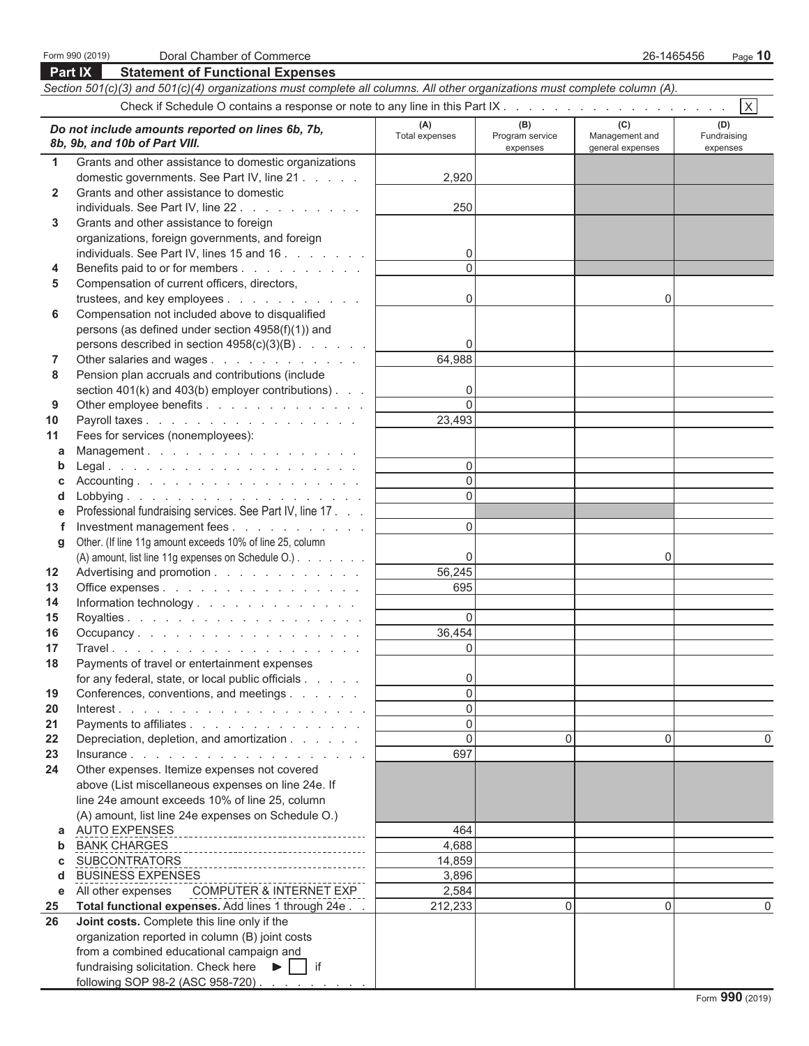|              | Part IX<br><b>Statement of Functional Expenses</b>                                                                         |                       |                 |                  |                         |
|--------------|----------------------------------------------------------------------------------------------------------------------------|-----------------------|-----------------|------------------|-------------------------|
|              | Section 501(c)(3) and 501(c)(4) organizations must complete all columns. All other organizations must complete column (A). |                       |                 |                  |                         |
|              |                                                                                                                            |                       |                 |                  | $\overline{\mathsf{x}}$ |
|              |                                                                                                                            | (A)                   | (B)             | (C)              | (D)                     |
|              | Do not include amounts reported on lines 6b, 7b,<br>8b, 9b, and 10b of Part VIII.                                          | <b>Total expenses</b> | Program service | Management and   | Fundraising             |
|              |                                                                                                                            |                       | expenses        | general expenses | expenses                |
| $\mathbf 1$  | Grants and other assistance to domestic organizations                                                                      |                       |                 |                  |                         |
| $\mathbf{2}$ | domestic governments. See Part IV, line 21<br>Grants and other assistance to domestic                                      | 2,920                 |                 |                  |                         |
|              | individuals. See Part IV, line 22.                                                                                         | 250                   |                 |                  |                         |
| 3            | Grants and other assistance to foreign                                                                                     |                       |                 |                  |                         |
|              | organizations, foreign governments, and foreign                                                                            |                       |                 |                  |                         |
|              | individuals. See Part IV, lines 15 and 16                                                                                  | 0                     |                 |                  |                         |
| 4            | Benefits paid to or for members                                                                                            | $\Omega$              |                 |                  |                         |
| 5            | Compensation of current officers, directors,                                                                               |                       |                 |                  |                         |
|              | trustees, and key employees                                                                                                | 0                     |                 | 0                |                         |
| 6            | Compensation not included above to disqualified                                                                            |                       |                 |                  |                         |
|              | persons (as defined under section 4958(f)(1)) and                                                                          |                       |                 |                  |                         |
|              | persons described in section 4958(c)(3)(B)                                                                                 | 0                     |                 |                  |                         |
| 7            | Other salaries and wages                                                                                                   | 64,988                |                 |                  |                         |
| 8            | Pension plan accruals and contributions (include                                                                           |                       |                 |                  |                         |
|              | section $401(k)$ and $403(b)$ employer contributions).                                                                     | 0                     |                 |                  |                         |
| 9            | Other employee benefits                                                                                                    | $\Omega$              |                 |                  |                         |
| 10           | Payroll taxes                                                                                                              | 23,493                |                 |                  |                         |
| 11           | Fees for services (nonemployees):                                                                                          |                       |                 |                  |                         |
| a            | Management.                                                                                                                |                       |                 |                  |                         |
| b            |                                                                                                                            | 0                     |                 |                  |                         |
| C            |                                                                                                                            | $\mathbf 0$           |                 |                  |                         |
| d            |                                                                                                                            | $\Omega$              |                 |                  |                         |
| е            | Professional fundraising services. See Part IV, line 17                                                                    |                       |                 |                  |                         |
| f            | Investment management fees                                                                                                 | $\Omega$              |                 |                  |                         |
| g            | Other. (If line 11g amount exceeds 10% of line 25, column                                                                  |                       |                 |                  |                         |
|              | (A) amount, list line 11g expenses on Schedule O.)                                                                         | 0                     |                 | 0                |                         |
| 12           | Advertising and promotion                                                                                                  | 56,245<br>695         |                 |                  |                         |
| 13<br>14     | Office expenses<br>Information technology.                                                                                 |                       |                 |                  |                         |
| 15           |                                                                                                                            | $\overline{0}$        |                 |                  |                         |
| 16           | Occupancy                                                                                                                  | 36,454                |                 |                  |                         |
| 17           |                                                                                                                            | 0                     |                 |                  |                         |
| 18           | Payments of travel or entertainment expenses                                                                               |                       |                 |                  |                         |
|              | for any federal, state, or local public officials                                                                          | 0                     |                 |                  |                         |
| 19           | Conferences, conventions, and meetings                                                                                     | $\overline{0}$        |                 |                  |                         |
| 20           |                                                                                                                            | $\mathbf{0}$          |                 |                  |                         |
| 21           | Payments to affiliates                                                                                                     | $\mathbf 0$           |                 |                  |                         |
| 22           | Depreciation, depletion, and amortization                                                                                  | $\overline{0}$        | 0               | 0                | 0                       |
| 23           |                                                                                                                            | 697                   |                 |                  |                         |
| 24           | Other expenses. Itemize expenses not covered                                                                               |                       |                 |                  |                         |
|              | above (List miscellaneous expenses on line 24e. If                                                                         |                       |                 |                  |                         |
|              | line 24e amount exceeds 10% of line 25, column                                                                             |                       |                 |                  |                         |
|              | (A) amount, list line 24e expenses on Schedule O.)                                                                         |                       |                 |                  |                         |
| a            | AUTO EXPENSES<br>__________________________________                                                                        | 464                   |                 |                  |                         |
| b            | <b>BANK CHARGES</b>                                                                                                        | 4,688                 |                 |                  |                         |
| C            | <b>SUBCONTRATORS</b>                                                                                                       | 14,859                |                 |                  |                         |
| d            | <b>BUSINESS EXPENSES</b>                                                                                                   | 3,896                 |                 |                  |                         |
| е            | All other expenses COMPUTER & INTERNET EXP                                                                                 | 2,584                 | $\Omega$        | $\Omega$         | 0                       |
| 25<br>26     | Total functional expenses. Add lines 1 through 24e<br>Joint costs. Complete this line only if the                          | 212,233               |                 |                  |                         |
|              | organization reported in column (B) joint costs                                                                            |                       |                 |                  |                         |
|              | from a combined educational campaign and                                                                                   |                       |                 |                  |                         |
|              | fundraising solicitation. Check here $\blacktriangleright$   if                                                            |                       |                 |                  |                         |
|              | following SOP 98-2 (ASC 958-720)                                                                                           |                       |                 |                  |                         |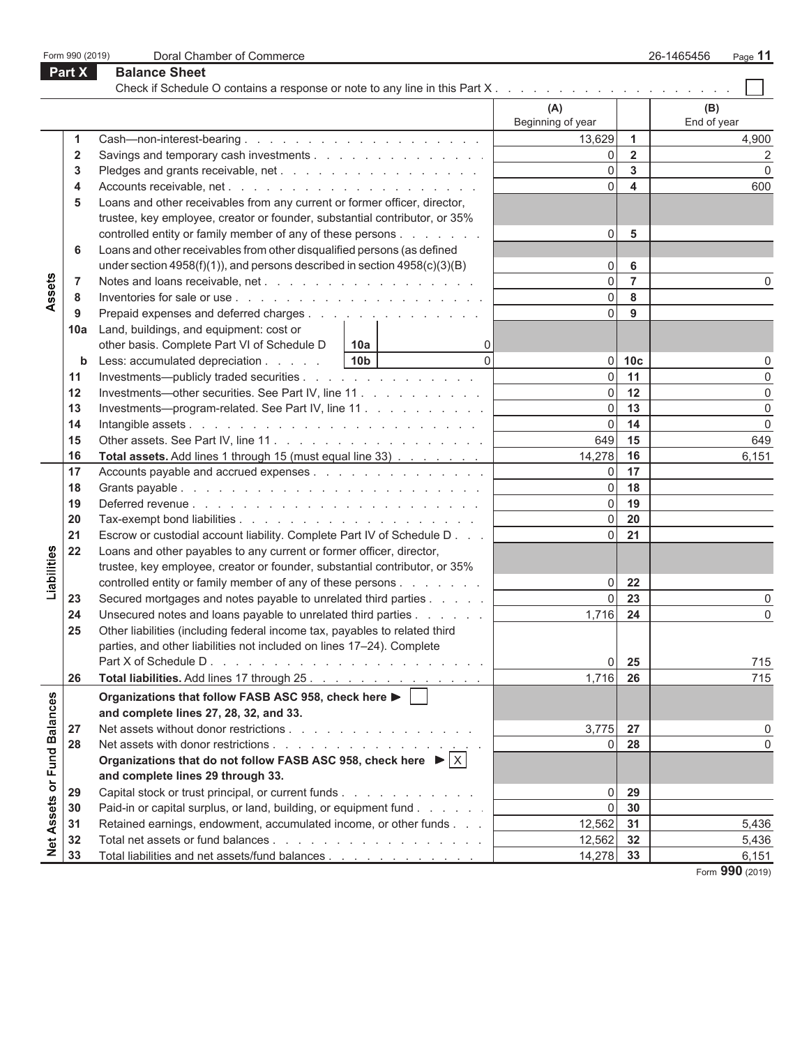|                             | Form 990 (2019)         | Doral Chamber of Commerce                                                                                                                     |                          |                         | 26-1465456<br>Page 11 |
|-----------------------------|-------------------------|-----------------------------------------------------------------------------------------------------------------------------------------------|--------------------------|-------------------------|-----------------------|
|                             | Part X                  | <b>Balance Sheet</b>                                                                                                                          |                          |                         |                       |
|                             |                         | Check if Schedule O contains a response or note to any line in this Part X                                                                    |                          |                         |                       |
|                             |                         |                                                                                                                                               | (A)<br>Beginning of year |                         | (B)<br>End of year    |
|                             | 1                       | Cash—non-interest-bearing $\ldots$ $\ldots$ $\ldots$ $\ldots$ $\ldots$ $\ldots$ $\ldots$ $\ldots$                                             | 13,629                   | $\mathbf{1}$            | 4,900                 |
|                             | $\overline{\mathbf{2}}$ | Savings and temporary cash investments                                                                                                        | $\overline{0}$           | $\overline{2}$          | $\overline{2}$        |
|                             | 3                       |                                                                                                                                               | $\overline{0}$           | $\mathbf{3}$            | $\mathbf 0$           |
|                             | 4                       |                                                                                                                                               | $\Omega$                 | $\overline{\mathbf{4}}$ | 600                   |
|                             | 5                       | Loans and other receivables from any current or former officer, director,                                                                     |                          |                         |                       |
|                             |                         | trustee, key employee, creator or founder, substantial contributor, or 35%                                                                    |                          |                         |                       |
| Assets                      |                         | controlled entity or family member of any of these persons                                                                                    | $\overline{0}$           | 5                       |                       |
|                             | 6                       | Loans and other receivables from other disqualified persons (as defined                                                                       |                          |                         |                       |
|                             |                         | under section $4958(f)(1)$ , and persons described in section $4958(c)(3)(B)$                                                                 | $\overline{0}$           | 6                       |                       |
|                             | 7                       |                                                                                                                                               | 0                        | $\overline{7}$          | 0                     |
|                             | 8                       |                                                                                                                                               | 0                        | 8                       |                       |
|                             | 9                       | Prepaid expenses and deferred charges                                                                                                         | $\overline{0}$           | 9                       |                       |
|                             | 10a                     | Land, buildings, and equipment: cost or                                                                                                       |                          |                         |                       |
|                             |                         | other basis. Complete Part VI of Schedule D<br>0<br>10a                                                                                       |                          |                         |                       |
|                             | b                       | $\Omega$<br>Less: accumulated depreciation<br>10 <sub>b</sub>                                                                                 | 0                        | 10 <sub>c</sub>         | 0                     |
|                             | 11                      | Investments—publicly traded securities                                                                                                        | $\overline{0}$           | 11                      | $\mathbf 0$           |
|                             | 12                      | Investments—other securities. See Part IV, line 11                                                                                            | $\overline{0}$           | 12                      | $\pmb{0}$             |
|                             | 13                      | Investments---program-related. See Part IV, line 11                                                                                           | $\overline{0}$           | 13                      | $\mathbf 0$           |
|                             | 14                      |                                                                                                                                               | $\overline{0}$           | 14                      | $\mathbf 0$           |
|                             | 15                      |                                                                                                                                               | 649                      | 15                      | 649                   |
|                             | 16                      | Total assets. Add lines 1 through 15 (must equal line 33)                                                                                     | 14,278                   | 16                      | 6,151                 |
|                             | 17                      | Accounts payable and accrued expenses                                                                                                         | $\overline{0}$<br> 0     | 17<br>18                |                       |
|                             | 18                      |                                                                                                                                               | $\overline{0}$           | 19                      |                       |
|                             | 19                      |                                                                                                                                               | $\overline{0}$           | 20                      |                       |
|                             | 20<br>21                |                                                                                                                                               | $\overline{0}$           | 21                      |                       |
|                             | 22                      | Escrow or custodial account liability. Complete Part IV of Schedule D<br>Loans and other payables to any current or former officer, director, |                          |                         |                       |
| Liabilities                 |                         | trustee, key employee, creator or founder, substantial contributor, or 35%                                                                    |                          |                         |                       |
|                             |                         | controlled entity or family member of any of these persons                                                                                    | $\Omega$                 | 22                      |                       |
|                             | 23                      | Secured mortgages and notes payable to unrelated third parties                                                                                | $\Omega$                 | 23                      | 0                     |
|                             | 24                      | Unsecured notes and loans payable to unrelated third parties                                                                                  | 1,716                    | 24                      | 0                     |
|                             | 25                      | Other liabilities (including federal income tax, payables to related third                                                                    |                          |                         |                       |
|                             |                         | parties, and other liabilities not included on lines 17-24). Complete                                                                         |                          |                         |                       |
|                             |                         | Part X of Schedule D.<br>and a construction of the construction of the construction                                                           | $\overline{0}$           | 25                      | 715                   |
|                             | 26                      | Total liabilities. Add lines 17 through 25.                                                                                                   | 1,716                    | 26                      | 715                   |
|                             |                         | Organizations that follow FASB ASC 958, check here ▶ │                                                                                        |                          |                         |                       |
|                             |                         | and complete lines 27, 28, 32, and 33.                                                                                                        |                          |                         |                       |
|                             | 27                      | Net assets without donor restrictions                                                                                                         | 3,775                    | 27                      | 0                     |
|                             | 28                      |                                                                                                                                               | $\Omega$                 | 28                      | $\mathbf 0$           |
|                             |                         | Organizations that do not follow FASB ASC 958, check here $\blacktriangleright$ $ \times $                                                    |                          |                         |                       |
|                             |                         | and complete lines 29 through 33.                                                                                                             |                          |                         |                       |
|                             | 29                      | Capital stock or trust principal, or current funds                                                                                            | $\overline{0}$           | 29                      |                       |
|                             | 30                      | Paid-in or capital surplus, or land, building, or equipment fund                                                                              | $\Omega$                 | 30                      |                       |
|                             | 31                      | Retained earnings, endowment, accumulated income, or other funds                                                                              | 12,562                   | 31                      | 5,436                 |
| Net Assets or Fund Balances | 32                      |                                                                                                                                               | 12,562                   | 32                      | 5,436                 |
|                             | 33                      | Total liabilities and net assets/fund balances                                                                                                | 14,278                   | 33                      | 6,151                 |
|                             |                         |                                                                                                                                               |                          |                         | Form 990 (2019)       |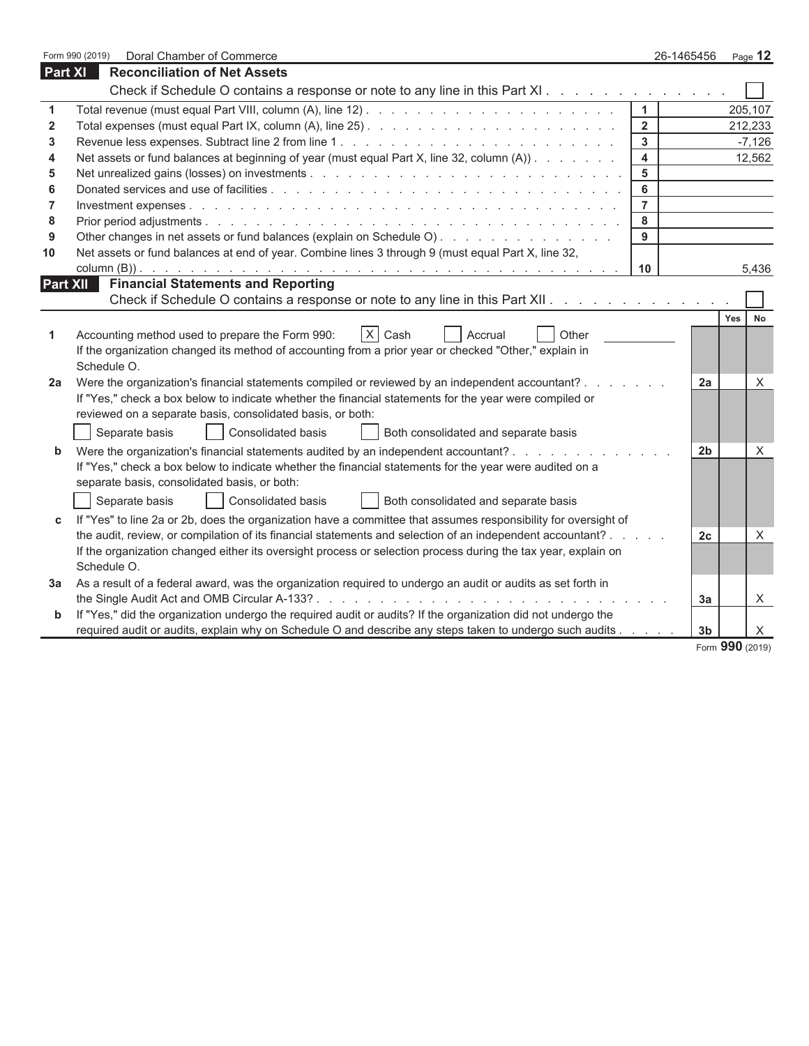|                         | Form 990 (2019)<br>Doral Chamber of Commerce                                                                                                                                                                               | 26-1465456     |                |            | Page 12  |
|-------------------------|----------------------------------------------------------------------------------------------------------------------------------------------------------------------------------------------------------------------------|----------------|----------------|------------|----------|
| <b>Part XI</b>          | <b>Reconciliation of Net Assets</b>                                                                                                                                                                                        |                |                |            |          |
|                         | Check if Schedule O contains a response or note to any line in this Part XI                                                                                                                                                |                |                |            |          |
| 1                       |                                                                                                                                                                                                                            | $\mathbf{1}$   |                |            | 205,107  |
| $\overline{\mathbf{2}}$ |                                                                                                                                                                                                                            | $\overline{2}$ |                |            | 212,233  |
| 3                       |                                                                                                                                                                                                                            | 3              |                |            | $-7,126$ |
| 4                       | Net assets or fund balances at beginning of year (must equal Part X, line 32, column (A))                                                                                                                                  | 4              |                |            | 12,562   |
| 5                       |                                                                                                                                                                                                                            | 5              |                |            |          |
| 6                       |                                                                                                                                                                                                                            | 6              |                |            |          |
| $\overline{7}$          |                                                                                                                                                                                                                            | $\overline{7}$ |                |            |          |
| 8                       |                                                                                                                                                                                                                            | 8              |                |            |          |
| 9                       | Other changes in net assets or fund balances (explain on Schedule O)                                                                                                                                                       | 9              |                |            |          |
| 10                      | Net assets or fund balances at end of year. Combine lines 3 through 9 (must equal Part X, line 32,                                                                                                                         |                |                |            |          |
|                         | <b>Financial Statements and Reporting</b>                                                                                                                                                                                  | 10             |                |            | 5,436    |
| Part XII                | Check if Schedule O contains a response or note to any line in this Part XII.                                                                                                                                              |                |                |            |          |
|                         |                                                                                                                                                                                                                            |                |                |            |          |
|                         | $\vert x \vert$<br>Cash<br>Other<br>Accrual                                                                                                                                                                                |                |                | <b>Yes</b> | No       |
| 1                       | Accounting method used to prepare the Form 990:<br>If the organization changed its method of accounting from a prior year or checked "Other," explain in                                                                   |                |                |            |          |
|                         | Schedule O.                                                                                                                                                                                                                |                |                |            |          |
| 2a                      | Were the organization's financial statements compiled or reviewed by an independent accountant?                                                                                                                            |                | 2a             |            | X        |
|                         | If "Yes," check a box below to indicate whether the financial statements for the year were compiled or                                                                                                                     |                |                |            |          |
|                         | reviewed on a separate basis, consolidated basis, or both:                                                                                                                                                                 |                |                |            |          |
|                         | Separate basis<br>Consolidated basis<br>Both consolidated and separate basis                                                                                                                                               |                |                |            |          |
| b                       | Were the organization's financial statements audited by an independent accountant?                                                                                                                                         |                | 2 <sub>b</sub> |            | X        |
|                         | If "Yes," check a box below to indicate whether the financial statements for the year were audited on a                                                                                                                    |                |                |            |          |
|                         | separate basis, consolidated basis, or both:                                                                                                                                                                               |                |                |            |          |
|                         | Consolidated basis<br>Separate basis<br>Both consolidated and separate basis                                                                                                                                               |                |                |            |          |
|                         |                                                                                                                                                                                                                            |                |                |            |          |
| C                       | If "Yes" to line 2a or 2b, does the organization have a committee that assumes responsibility for oversight of                                                                                                             |                |                |            |          |
|                         | the audit, review, or compilation of its financial statements and selection of an independent accountant?<br>If the organization changed either its oversight process or selection process during the tax year, explain on |                | 2c             |            | X        |
|                         | Schedule O.                                                                                                                                                                                                                |                |                |            |          |
| За                      | As a result of a federal award, was the organization required to undergo an audit or audits as set forth in                                                                                                                |                |                |            |          |
|                         | the Single Audit Act and OMB Circular A-133?                                                                                                                                                                               |                | 3a             |            | X.       |
| b                       | If "Yes," did the organization undergo the required audit or audits? If the organization did not undergo the                                                                                                               |                |                |            |          |
|                         | required audit or audits, explain why on Schedule O and describe any steps taken to undergo such audits                                                                                                                    |                | 3 <sub>b</sub> |            | X.       |
|                         |                                                                                                                                                                                                                            |                |                |            |          |

Form **990** (2019)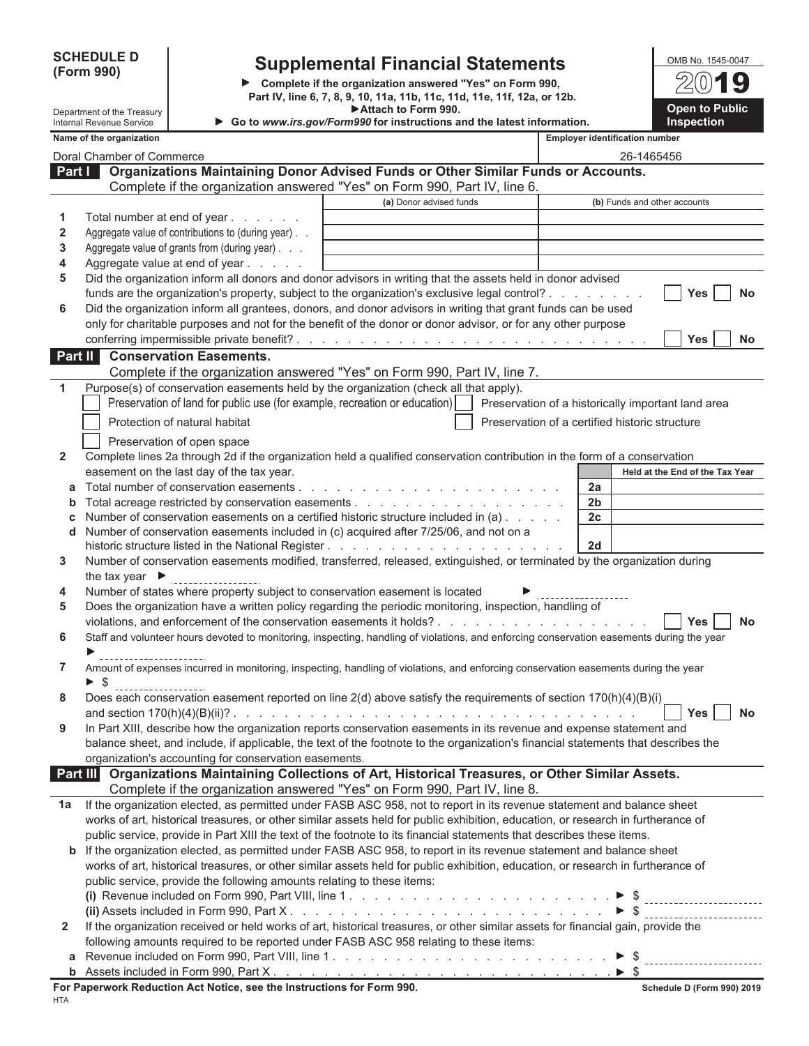**(Form 990)**

### **SCHEDULE D Supplemental Financial Statements**

**Complete if the organization answered "Yes" on Form 990, Part IV, line 6, 7, 8, 9, 10, 11a, 11b, 11c, 11d, 11e, 11f, 12a, or 12b. Attach to Form 990.**

| OMB No. 1545-0047                          |
|--------------------------------------------|
| $2(0)$ 19                                  |
| <b>Open to Public</b><br><b>Inspection</b> |

|              | Department of the Treasury<br><b>Internal Revenue Service</b> |                                                                        | Attach to Form 990.<br>Go to www.irs.gov/Form990 for instructions and the latest information.                                                                                                                                  |                                                | <b>Open to Public</b><br>Inspection |
|--------------|---------------------------------------------------------------|------------------------------------------------------------------------|--------------------------------------------------------------------------------------------------------------------------------------------------------------------------------------------------------------------------------|------------------------------------------------|-------------------------------------|
|              | Name of the organization                                      |                                                                        |                                                                                                                                                                                                                                | <b>Employer identification number</b>          |                                     |
|              | Doral Chamber of Commerce                                     |                                                                        |                                                                                                                                                                                                                                | 26-1465456                                     |                                     |
| Part I       |                                                               |                                                                        | Organizations Maintaining Donor Advised Funds or Other Similar Funds or Accounts.                                                                                                                                              |                                                |                                     |
|              |                                                               |                                                                        | Complete if the organization answered "Yes" on Form 990, Part IV, line 6.                                                                                                                                                      |                                                |                                     |
|              |                                                               |                                                                        | (a) Donor advised funds                                                                                                                                                                                                        | (b) Funds and other accounts                   |                                     |
| 1            |                                                               | Total number at end of year                                            |                                                                                                                                                                                                                                |                                                |                                     |
| 2            |                                                               | Aggregate value of contributions to (during year)                      |                                                                                                                                                                                                                                |                                                |                                     |
| 3            |                                                               | Aggregate value of grants from (during year)                           |                                                                                                                                                                                                                                |                                                |                                     |
| 4            |                                                               | Aggregate value at end of year                                         |                                                                                                                                                                                                                                |                                                |                                     |
| 5            |                                                               |                                                                        | Did the organization inform all donors and donor advisors in writing that the assets held in donor advised                                                                                                                     |                                                |                                     |
|              |                                                               |                                                                        | funds are the organization's property, subject to the organization's exclusive legal control?                                                                                                                                  |                                                | Yes<br>No                           |
| 6            |                                                               |                                                                        | Did the organization inform all grantees, donors, and donor advisors in writing that grant funds can be used                                                                                                                   |                                                |                                     |
|              |                                                               |                                                                        | only for charitable purposes and not for the benefit of the donor or donor advisor, or for any other purpose                                                                                                                   |                                                |                                     |
|              |                                                               |                                                                        |                                                                                                                                                                                                                                |                                                | Yes<br><b>No</b>                    |
| Part II      |                                                               | <b>Conservation Easements.</b>                                         |                                                                                                                                                                                                                                |                                                |                                     |
|              |                                                               |                                                                        | Complete if the organization answered "Yes" on Form 990, Part IV, line 7.                                                                                                                                                      |                                                |                                     |
| 1            |                                                               |                                                                        | Purpose(s) of conservation easements held by the organization (check all that apply).                                                                                                                                          |                                                |                                     |
|              |                                                               |                                                                        | Preservation of land for public use (for example, recreation or education)   Preservation of a historically important land area                                                                                                |                                                |                                     |
|              |                                                               | Protection of natural habitat                                          |                                                                                                                                                                                                                                | Preservation of a certified historic structure |                                     |
|              |                                                               | Preservation of open space                                             |                                                                                                                                                                                                                                |                                                |                                     |
| $\mathbf{2}$ |                                                               |                                                                        | Complete lines 2a through 2d if the organization held a qualified conservation contribution in the form of a conservation                                                                                                      |                                                |                                     |
|              |                                                               | easement on the last day of the tax year.                              |                                                                                                                                                                                                                                |                                                | Held at the End of the Tax Year     |
| а            |                                                               |                                                                        |                                                                                                                                                                                                                                | 2a                                             |                                     |
| b            |                                                               |                                                                        |                                                                                                                                                                                                                                | 2 <sub>b</sub>                                 |                                     |
| c            |                                                               |                                                                        | Number of conservation easements on a certified historic structure included in (a)                                                                                                                                             | 2c                                             |                                     |
| d            |                                                               |                                                                        | Number of conservation easements included in (c) acquired after 7/25/06, and not on a                                                                                                                                          |                                                |                                     |
|              |                                                               |                                                                        |                                                                                                                                                                                                                                | 2d                                             |                                     |
| 3            |                                                               |                                                                        | Number of conservation easements modified, transferred, released, extinguished, or terminated by the organization during                                                                                                       |                                                |                                     |
|              | the tax year $\blacktriangleright$                            |                                                                        |                                                                                                                                                                                                                                |                                                |                                     |
| 4            |                                                               |                                                                        | Number of states where property subject to conservation easement is located                                                                                                                                                    |                                                |                                     |
| 5            |                                                               |                                                                        | Does the organization have a written policy regarding the periodic monitoring, inspection, handling of                                                                                                                         |                                                |                                     |
|              |                                                               |                                                                        |                                                                                                                                                                                                                                |                                                | Yes<br><b>No</b>                    |
| 6            |                                                               |                                                                        | Staff and volunteer hours devoted to monitoring, inspecting, handling of violations, and enforcing conservation easements during the year                                                                                      |                                                |                                     |
| 7            |                                                               |                                                                        | Amount of expenses incurred in monitoring, inspecting, handling of violations, and enforcing conservation easements during the year                                                                                            |                                                |                                     |
|              | \$                                                            |                                                                        |                                                                                                                                                                                                                                |                                                |                                     |
| 8            | -----------------                                             |                                                                        | Does each conservation easement reported on line 2(d) above satisfy the requirements of section 170(h)(4)(B)(i)                                                                                                                |                                                |                                     |
|              | and section $170(h)(4)(B)(ii)?$ .                             |                                                                        | the contract of the contract of the contract of the contract of the contract of the contract of the contract of the contract of the contract of the contract of the contract of the contract of the contract of the contract o |                                                | Yes<br>No                           |
| 9            |                                                               |                                                                        | In Part XIII, describe how the organization reports conservation easements in its revenue and expense statement and                                                                                                            |                                                |                                     |
|              |                                                               |                                                                        | balance sheet, and include, if applicable, the text of the footnote to the organization's financial statements that describes the                                                                                              |                                                |                                     |
|              |                                                               | organization's accounting for conservation easements.                  |                                                                                                                                                                                                                                |                                                |                                     |
| Part III     |                                                               |                                                                        | Organizations Maintaining Collections of Art, Historical Treasures, or Other Similar Assets.                                                                                                                                   |                                                |                                     |
|              |                                                               |                                                                        | Complete if the organization answered "Yes" on Form 990, Part IV, line 8.                                                                                                                                                      |                                                |                                     |
| 1a           |                                                               |                                                                        | If the organization elected, as permitted under FASB ASC 958, not to report in its revenue statement and balance sheet                                                                                                         |                                                |                                     |
|              |                                                               |                                                                        | works of art, historical treasures, or other similar assets held for public exhibition, education, or research in furtherance of                                                                                               |                                                |                                     |
|              |                                                               |                                                                        | public service, provide in Part XIII the text of the footnote to its financial statements that describes these items.                                                                                                          |                                                |                                     |
|              |                                                               |                                                                        | <b>b</b> If the organization elected, as permitted under FASB ASC 958, to report in its revenue statement and balance sheet                                                                                                    |                                                |                                     |
|              |                                                               |                                                                        | works of art, historical treasures, or other similar assets held for public exhibition, education, or research in furtherance of                                                                                               |                                                |                                     |
|              |                                                               | public service, provide the following amounts relating to these items: |                                                                                                                                                                                                                                |                                                |                                     |
|              |                                                               |                                                                        |                                                                                                                                                                                                                                |                                                |                                     |
|              |                                                               |                                                                        |                                                                                                                                                                                                                                |                                                |                                     |
| $\mathbf{2}$ |                                                               |                                                                        | If the organization received or held works of art, historical treasures, or other similar assets for financial gain, provide the                                                                                               |                                                |                                     |
|              |                                                               |                                                                        | following amounts required to be reported under FASB ASC 958 relating to these items:                                                                                                                                          |                                                |                                     |
| а            |                                                               |                                                                        |                                                                                                                                                                                                                                | $\triangleright$ s                             |                                     |

| .                                      | ___________ |
|----------------------------------------|-------------|
| s included in Form 990.<br>Part<br>-11 |             |
|                                        |             |

|  | ٠ |
|--|---|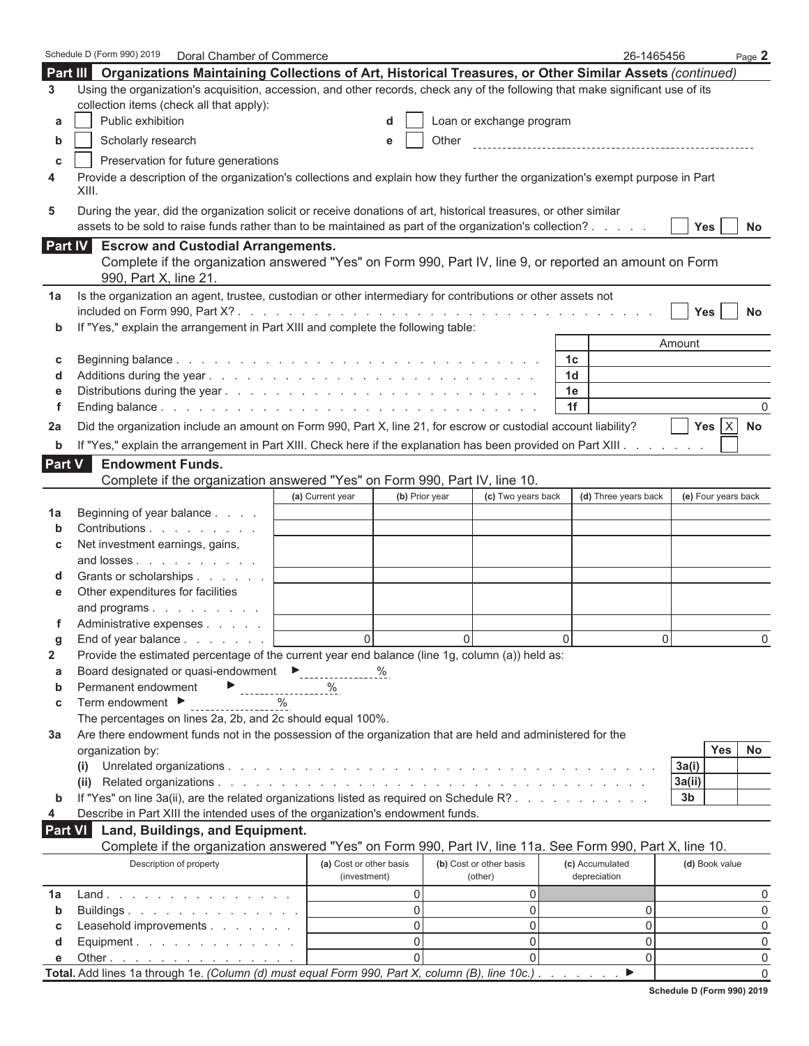|             | Schedule D (Form 990) 2019<br>Doral Chamber of Commerce                                                                                                                                                                      |                                    |                          | 26-1465456           |                     |            | Page 2    |
|-------------|------------------------------------------------------------------------------------------------------------------------------------------------------------------------------------------------------------------------------|------------------------------------|--------------------------|----------------------|---------------------|------------|-----------|
| Part III    | Organizations Maintaining Collections of Art, Historical Treasures, or Other Similar Assets (continued)                                                                                                                      |                                    |                          |                      |                     |            |           |
| 3           | Using the organization's acquisition, accession, and other records, check any of the following that make significant use of its<br>collection items (check all that apply):                                                  |                                    |                          |                      |                     |            |           |
| a           | Public exhibition                                                                                                                                                                                                            | d                                  | Loan or exchange program |                      |                     |            |           |
| b           | Scholarly research                                                                                                                                                                                                           | e                                  | Other                    |                      |                     |            |           |
| C           | Preservation for future generations                                                                                                                                                                                          |                                    |                          |                      |                     |            |           |
| 4           | Provide a description of the organization's collections and explain how they further the organization's exempt purpose in Part<br>XIII.                                                                                      |                                    |                          |                      |                     |            |           |
| 5           | During the year, did the organization solicit or receive donations of art, historical treasures, or other similar<br>assets to be sold to raise funds rather than to be maintained as part of the organization's collection? |                                    |                          |                      | <b>Yes</b>          |            | <b>No</b> |
| Part IV     | <b>Escrow and Custodial Arrangements.</b><br>Complete if the organization answered "Yes" on Form 990, Part IV, line 9, or reported an amount on Form                                                                         |                                    |                          |                      |                     |            |           |
|             | 990, Part X, line 21.                                                                                                                                                                                                        |                                    |                          |                      |                     |            |           |
| 1a          | Is the organization an agent, trustee, custodian or other intermediary for contributions or other assets not                                                                                                                 |                                    |                          |                      | <b>Yes</b>          |            | <b>No</b> |
| $\mathbf b$ | If "Yes," explain the arrangement in Part XIII and complete the following table:                                                                                                                                             |                                    |                          |                      |                     |            |           |
|             |                                                                                                                                                                                                                              |                                    |                          |                      | Amount              |            |           |
| c           |                                                                                                                                                                                                                              |                                    |                          | 1c<br>1 <sub>d</sub> |                     |            |           |
| d<br>е      |                                                                                                                                                                                                                              |                                    |                          | 1e                   |                     |            |           |
| f           |                                                                                                                                                                                                                              |                                    |                          | 1f                   |                     |            | 0         |
|             | Did the organization include an amount on Form 990, Part X, line 21, for escrow or custodial account liability?                                                                                                              |                                    |                          |                      |                     | Yes $ X $  |           |
| 2a          |                                                                                                                                                                                                                              |                                    |                          |                      |                     |            | <b>No</b> |
| b           | If "Yes," explain the arrangement in Part XIII. Check here if the explanation has been provided on Part XIII.                                                                                                                |                                    |                          |                      |                     |            |           |
| Part V      | <b>Endowment Funds.</b>                                                                                                                                                                                                      |                                    |                          |                      |                     |            |           |
|             | Complete if the organization answered "Yes" on Form 990, Part IV, line 10.                                                                                                                                                   |                                    |                          |                      |                     |            |           |
|             |                                                                                                                                                                                                                              | (b) Prior year<br>(a) Current year | (c) Two years back       | (d) Three years back | (e) Four years back |            |           |
| 1a          | Beginning of year balance                                                                                                                                                                                                    |                                    |                          |                      |                     |            |           |
| b           | Contributions                                                                                                                                                                                                                |                                    |                          |                      |                     |            |           |
| C           | Net investment earnings, gains,                                                                                                                                                                                              |                                    |                          |                      |                     |            |           |
|             | and losses                                                                                                                                                                                                                   |                                    |                          |                      |                     |            |           |
| d           | Grants or scholarships                                                                                                                                                                                                       |                                    |                          |                      |                     |            |           |
| е           | Other expenditures for facilities                                                                                                                                                                                            |                                    |                          |                      |                     |            |           |
|             | and programs<br>Administrative expenses                                                                                                                                                                                      |                                    |                          |                      |                     |            |           |
|             |                                                                                                                                                                                                                              | $\Omega$                           | $\Omega$                 | $\Omega$             |                     |            |           |
| g<br>2      | End of year balance $\ldots$ , $\ldots$<br>Provide the estimated percentage of the current year end balance (line 1g, column (a)) held as:                                                                                   |                                    |                          |                      | 0                   |            | 0         |
| a           | Board designated or quasi-endowment ▶                                                                                                                                                                                        | %                                  |                          |                      |                     |            |           |
| b           | Permanent endowment                                                                                                                                                                                                          | %                                  |                          |                      |                     |            |           |
| C           | Term endowment $\blacktriangleright$<br>$\%$                                                                                                                                                                                 |                                    |                          |                      |                     |            |           |
|             | The percentages on lines 2a, 2b, and 2c should equal 100%.                                                                                                                                                                   |                                    |                          |                      |                     |            |           |
| Зa          | Are there endowment funds not in the possession of the organization that are held and administered for the                                                                                                                   |                                    |                          |                      |                     |            |           |
|             | organization by:                                                                                                                                                                                                             |                                    |                          |                      |                     | <b>Yes</b> | No        |
|             | (i)                                                                                                                                                                                                                          |                                    |                          |                      | 3a(i)               |            |           |
|             |                                                                                                                                                                                                                              |                                    |                          |                      | 3a(ii)              |            |           |
| b           | If "Yes" on line 3a(ii), are the related organizations listed as required on Schedule R?                                                                                                                                     |                                    |                          |                      | 3 <sub>b</sub>      |            |           |
| 4           | Describe in Part XIII the intended uses of the organization's endowment funds.                                                                                                                                               |                                    |                          |                      |                     |            |           |
| Part VI     | Land, Buildings, and Equipment.                                                                                                                                                                                              |                                    |                          |                      |                     |            |           |
|             | Complete if the organization answered "Yes" on Form 990, Part IV, line 11a. See Form 990, Part X, line 10.                                                                                                                   |                                    |                          |                      |                     |            |           |
|             | Description of property                                                                                                                                                                                                      | (a) Cost or other basis            | (b) Cost or other basis  | (c) Accumulated      | (d) Book value      |            |           |
|             |                                                                                                                                                                                                                              | (investment)                       | (other)                  | depreciation         |                     |            |           |
| 1a          | Land                                                                                                                                                                                                                         | 0                                  | 0                        |                      |                     |            | 0         |
| b           | Buildings                                                                                                                                                                                                                    | 0                                  | 0                        | 0                    |                     |            | 0         |
| c           | Leasehold improvements                                                                                                                                                                                                       | 0                                  | 0                        | 0                    |                     |            | 0         |
| d           | Equipment.                                                                                                                                                                                                                   | 0                                  | 0                        | 0                    |                     |            | 0         |
| e           | Other $\cdots$ $\cdots$ $\cdots$                                                                                                                                                                                             | $\Omega$                           | $\Omega$                 | 0                    |                     |            | 0         |
|             | Total. Add lines 1a through 1e. (Column (d) must equal Form 990, Part X, column (B), line 10c.)                                                                                                                              |                                    |                          | ▶                    |                     |            | $\Omega$  |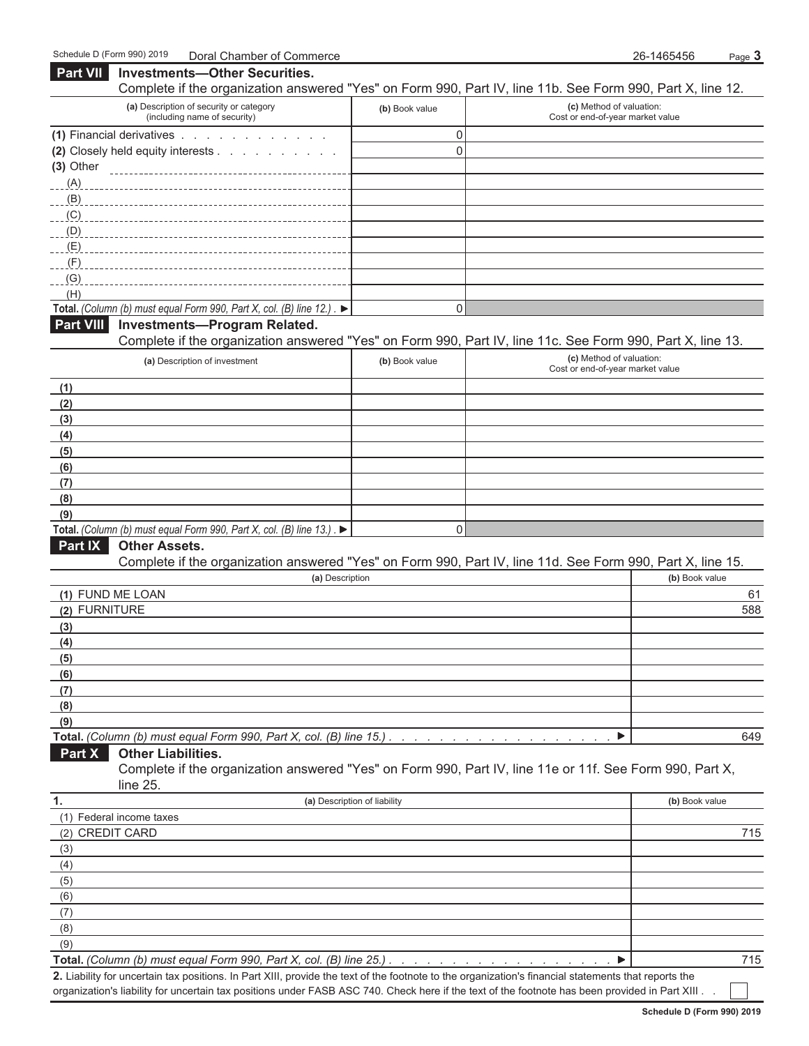**Part VII Investments—Other Securities.** 

| Complete if the organization answered "Yes" on Form 990, Part IV, line 11b. See Form 990, Part X, line 12.                                      |                              |                                                              |                |
|-------------------------------------------------------------------------------------------------------------------------------------------------|------------------------------|--------------------------------------------------------------|----------------|
| (a) Description of security or category<br>(including name of security)                                                                         | (b) Book value               | (c) Method of valuation:<br>Cost or end-of-year market value |                |
| (1) Financial derivatives                                                                                                                       | 0                            |                                                              |                |
| (2) Closely held equity interests                                                                                                               | $\mathbf{0}$                 |                                                              |                |
| (3) Other                                                                                                                                       |                              |                                                              |                |
| (A)                                                                                                                                             |                              |                                                              |                |
| (B)                                                                                                                                             |                              |                                                              |                |
| (C)                                                                                                                                             |                              |                                                              |                |
| (D)                                                                                                                                             |                              |                                                              |                |
| (E)                                                                                                                                             |                              |                                                              |                |
| (F)                                                                                                                                             |                              |                                                              |                |
| (G)                                                                                                                                             |                              |                                                              |                |
| (H)                                                                                                                                             |                              |                                                              |                |
| Total. (Column (b) must equal Form 990, Part X, col. (B) line 12.). ▶                                                                           | 0                            |                                                              |                |
| <b>Part VIII</b><br><b>Investments-Program Related.</b>                                                                                         |                              |                                                              |                |
| Complete if the organization answered "Yes" on Form 990, Part IV, line 11c. See Form 990, Part X, line 13.                                      |                              |                                                              |                |
| (a) Description of investment                                                                                                                   | (b) Book value               | (c) Method of valuation:<br>Cost or end-of-year market value |                |
| (1)                                                                                                                                             |                              |                                                              |                |
| (2)                                                                                                                                             |                              |                                                              |                |
| (3)                                                                                                                                             |                              |                                                              |                |
| (4)                                                                                                                                             |                              |                                                              |                |
| (5)                                                                                                                                             |                              |                                                              |                |
| (6)                                                                                                                                             |                              |                                                              |                |
| (7)                                                                                                                                             |                              |                                                              |                |
| (8)                                                                                                                                             |                              |                                                              |                |
| (9)                                                                                                                                             |                              |                                                              |                |
| Total. (Column (b) must equal Form 990, Part X, col. (B) line 13.). ▶                                                                           | 0                            |                                                              |                |
| Part IX<br><b>Other Assets.</b>                                                                                                                 |                              |                                                              |                |
| Complete if the organization answered "Yes" on Form 990, Part IV, line 11d. See Form 990, Part X, line 15.                                      |                              |                                                              |                |
| (a) Description                                                                                                                                 |                              |                                                              | (b) Book value |
| (1) FUND ME LOAN                                                                                                                                |                              |                                                              | 61             |
| (2) FURNITURE                                                                                                                                   |                              |                                                              | 588            |
| (3)                                                                                                                                             |                              |                                                              |                |
| (4)                                                                                                                                             |                              |                                                              |                |
| (5)                                                                                                                                             |                              |                                                              |                |
| (6)                                                                                                                                             |                              |                                                              |                |
| (7)                                                                                                                                             |                              |                                                              |                |
| (8)                                                                                                                                             |                              |                                                              |                |
| (9)                                                                                                                                             |                              |                                                              |                |
| Total. (Column (b) must equal Form 990, Part X, col. (B) line 15.)                                                                              |                              | ▶                                                            | 649            |
| Part X<br><b>Other Liabilities.</b><br>Complete if the organization answered "Yes" on Form 990, Part IV, line 11e or 11f. See Form 990, Part X, |                              |                                                              |                |
| line 25.                                                                                                                                        |                              |                                                              |                |
| 1.                                                                                                                                              | (a) Description of liability |                                                              | (b) Book value |
| (1) Federal income taxes                                                                                                                        |                              |                                                              |                |
| (2) CREDIT CARD                                                                                                                                 |                              |                                                              | 715            |
| (3)                                                                                                                                             |                              |                                                              |                |
| (4)                                                                                                                                             |                              |                                                              |                |
| (5)                                                                                                                                             |                              |                                                              |                |
| (6)                                                                                                                                             |                              |                                                              |                |
| (7)                                                                                                                                             |                              |                                                              |                |
| (8)                                                                                                                                             |                              |                                                              |                |
| (9)                                                                                                                                             |                              |                                                              |                |
| Total. (Column (b) must equal Form 990, Part X, col. (B) line 25.).                                                                             |                              | ▶                                                            | 715            |

**2.** Liability for uncertain tax positions. In Part XIII, provide the text of the footnote to the organization's financial statements that reports the organization's liability for uncertain tax positions under FASB ASC 740. Check here if the text of the footnote has been provided in Part XIII . .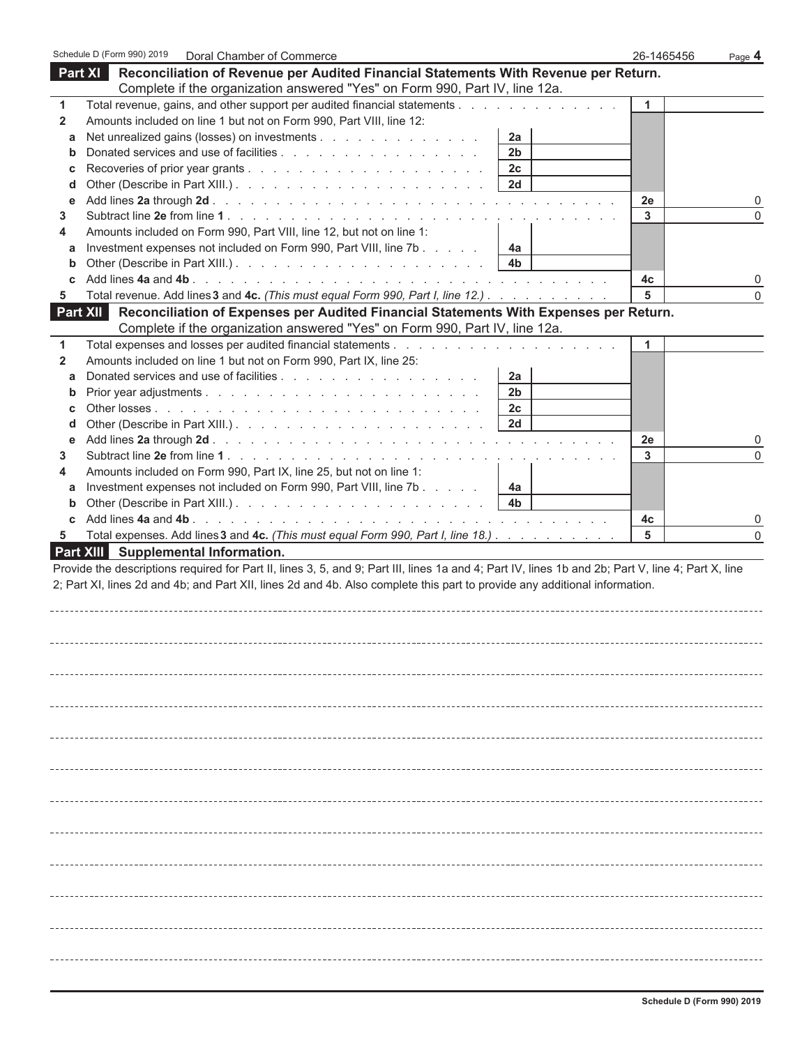|              | Schedule D (Form 990) 2019<br>Doral Chamber of Commerce                                                                                                                                                                                                                          | 26-1465456 | Page $4$    |
|--------------|----------------------------------------------------------------------------------------------------------------------------------------------------------------------------------------------------------------------------------------------------------------------------------|------------|-------------|
| Part XI      | Reconciliation of Revenue per Audited Financial Statements With Revenue per Return.                                                                                                                                                                                              |            |             |
|              | Complete if the organization answered "Yes" on Form 990, Part IV, line 12a.                                                                                                                                                                                                      |            |             |
| 1            | Total revenue, gains, and other support per audited financial statements                                                                                                                                                                                                         | 1          |             |
| $\mathbf{2}$ | Amounts included on line 1 but not on Form 990, Part VIII, line 12:                                                                                                                                                                                                              |            |             |
| а            | Net unrealized gains (losses) on investments<br>2a                                                                                                                                                                                                                               |            |             |
| b            | Donated services and use of facilities<br>2 <sub>b</sub>                                                                                                                                                                                                                         |            |             |
| С            | 2c                                                                                                                                                                                                                                                                               |            |             |
| d            | 2d                                                                                                                                                                                                                                                                               |            |             |
| е            |                                                                                                                                                                                                                                                                                  | 2e         | 0           |
| 3.           |                                                                                                                                                                                                                                                                                  | 3          | $\mathbf 0$ |
| 4            | Amounts included on Form 990, Part VIII, line 12, but not on line 1:                                                                                                                                                                                                             |            |             |
| а            | Investment expenses not included on Form 990, Part VIII, line 7b<br>4a                                                                                                                                                                                                           |            |             |
| $\mathbf b$  | 4b                                                                                                                                                                                                                                                                               |            |             |
| c            |                                                                                                                                                                                                                                                                                  | 4c         | 0           |
| 5            | Total revenue. Add lines 3 and 4c. (This must equal Form 990, Part I, line 12.)                                                                                                                                                                                                  | 5          | $\mathbf 0$ |
|              | Part XII Reconciliation of Expenses per Audited Financial Statements With Expenses per Return.                                                                                                                                                                                   |            |             |
|              | Complete if the organization answered "Yes" on Form 990, Part IV, line 12a.                                                                                                                                                                                                      |            |             |
| 1            |                                                                                                                                                                                                                                                                                  | 1          |             |
| 2            | Amounts included on line 1 but not on Form 990, Part IX, line 25:                                                                                                                                                                                                                |            |             |
| а            | 2a                                                                                                                                                                                                                                                                               |            |             |
| b            | 2 <sub>b</sub>                                                                                                                                                                                                                                                                   |            |             |
| С            | 2 <sub>c</sub>                                                                                                                                                                                                                                                                   |            |             |
| d            | 2d                                                                                                                                                                                                                                                                               |            |             |
| е<br>3.      |                                                                                                                                                                                                                                                                                  | 2e<br>3    | 0<br>0      |
| 4            | Amounts included on Form 990, Part IX, line 25, but not on line 1:                                                                                                                                                                                                               |            |             |
| а            | Investment expenses not included on Form 990, Part VIII, line 7b<br>4a                                                                                                                                                                                                           |            |             |
| $\mathbf b$  | 4b                                                                                                                                                                                                                                                                               |            |             |
| C            |                                                                                                                                                                                                                                                                                  | 4c         | 0           |
| 5            | Total expenses. Add lines 3 and 4c. (This must equal Form 990, Part I, line 18.)                                                                                                                                                                                                 | 5          | $\Omega$    |
|              | Part XIII Supplemental Information.                                                                                                                                                                                                                                              |            |             |
|              | Provide the descriptions required for Part II, lines 3, 5, and 9; Part III, lines 1a and 4; Part IV, lines 1b and 2b; Part V, line 4; Part X, line<br>2; Part XI, lines 2d and 4b; and Part XII, lines 2d and 4b. Also complete this part to provide any additional information. |            |             |
|              |                                                                                                                                                                                                                                                                                  |            |             |
|              |                                                                                                                                                                                                                                                                                  |            |             |
|              |                                                                                                                                                                                                                                                                                  |            |             |
|              |                                                                                                                                                                                                                                                                                  |            |             |
|              |                                                                                                                                                                                                                                                                                  |            |             |
|              |                                                                                                                                                                                                                                                                                  |            |             |
|              |                                                                                                                                                                                                                                                                                  |            |             |
|              |                                                                                                                                                                                                                                                                                  |            |             |
|              |                                                                                                                                                                                                                                                                                  |            |             |
|              |                                                                                                                                                                                                                                                                                  |            |             |
|              |                                                                                                                                                                                                                                                                                  |            |             |
|              |                                                                                                                                                                                                                                                                                  |            |             |
|              |                                                                                                                                                                                                                                                                                  |            |             |
|              |                                                                                                                                                                                                                                                                                  |            |             |
|              |                                                                                                                                                                                                                                                                                  |            |             |
|              |                                                                                                                                                                                                                                                                                  |            |             |
|              |                                                                                                                                                                                                                                                                                  |            |             |
|              |                                                                                                                                                                                                                                                                                  |            |             |
|              |                                                                                                                                                                                                                                                                                  |            |             |
|              |                                                                                                                                                                                                                                                                                  |            |             |
|              |                                                                                                                                                                                                                                                                                  |            |             |
|              |                                                                                                                                                                                                                                                                                  |            |             |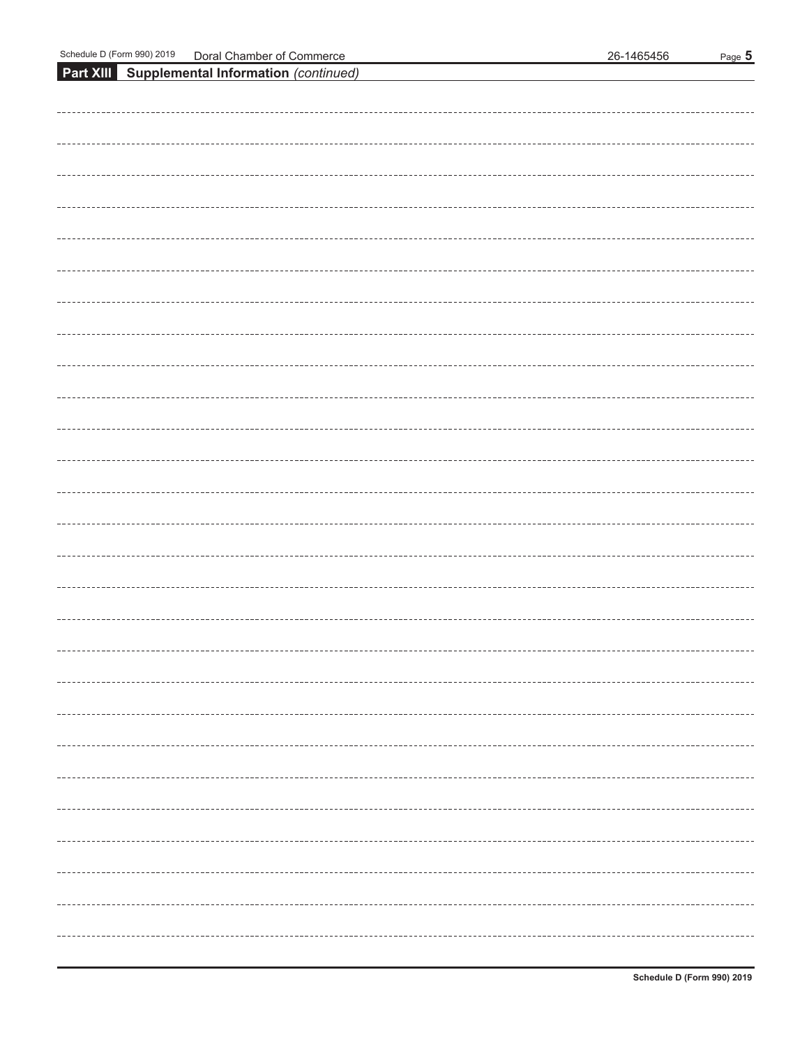| <b>Part XIII Supplemental Information (continued)</b> |  |
|-------------------------------------------------------|--|
|                                                       |  |
|                                                       |  |
|                                                       |  |
|                                                       |  |
|                                                       |  |
|                                                       |  |
|                                                       |  |
|                                                       |  |
|                                                       |  |
|                                                       |  |
|                                                       |  |
|                                                       |  |
|                                                       |  |
|                                                       |  |
|                                                       |  |
|                                                       |  |
|                                                       |  |
|                                                       |  |
|                                                       |  |
|                                                       |  |
|                                                       |  |
|                                                       |  |
|                                                       |  |
|                                                       |  |
|                                                       |  |
|                                                       |  |
|                                                       |  |
|                                                       |  |
|                                                       |  |
|                                                       |  |
|                                                       |  |
|                                                       |  |
|                                                       |  |
|                                                       |  |
|                                                       |  |
|                                                       |  |
|                                                       |  |
|                                                       |  |
|                                                       |  |
|                                                       |  |
|                                                       |  |
|                                                       |  |
|                                                       |  |
|                                                       |  |
|                                                       |  |
|                                                       |  |
|                                                       |  |
|                                                       |  |
|                                                       |  |
|                                                       |  |
|                                                       |  |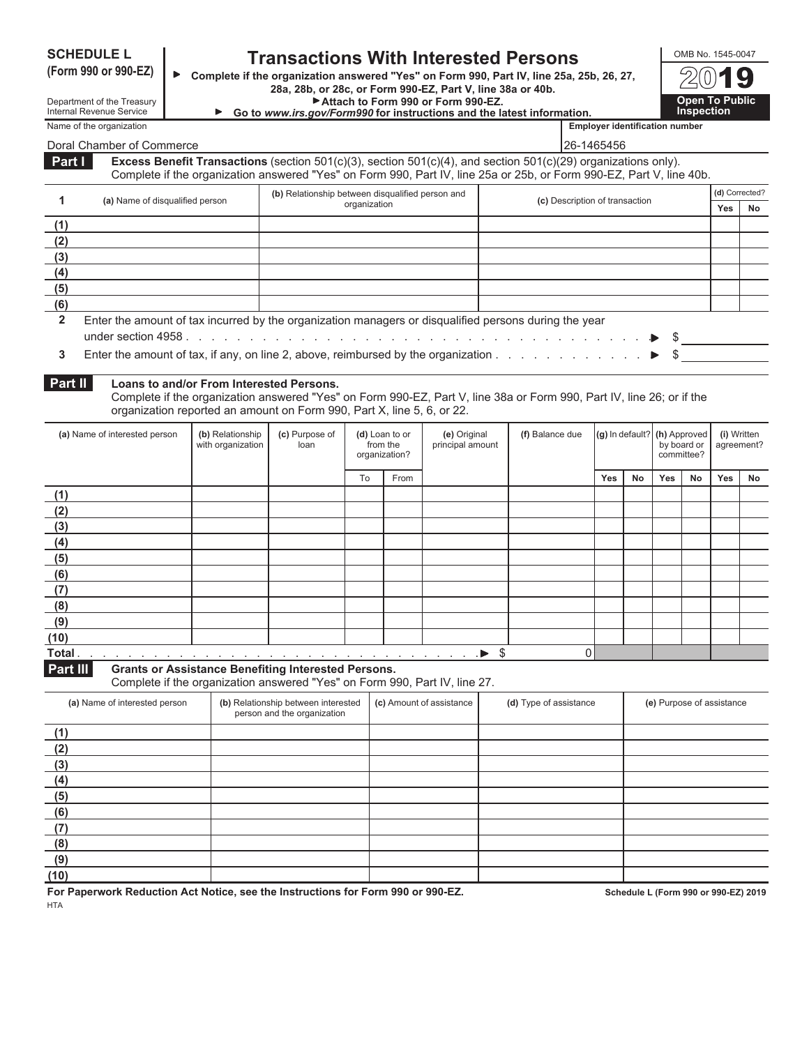| <b>SCHEDULE L</b> |  |
|-------------------|--|
|-------------------|--|

## **SCHEDULE L Transactions With Interested Persons**<br>(Form 990 or 990-EZ)  $\bullet$  Complete if the organization answered "Yes" on Form 990, Part IV, line 25a.

**(Form 990 or 990-EZ) Complete if the organization answered "Yes" on Form 990, Part IV, line 25a, 25b, 26, 27, 28a, 28b, or 28c, or Form 990-EZ, Part V, line 38a or 40b.**

**Attach to Form 990 or Form 990-EZ. Open To Public**

| <b>Open To Public<br/>Inspection</b> |
|--------------------------------------|
| $2(0)$ <b>19</b>                     |
| OMB No. 1545-0047                    |

|                 | Department of the Treasury<br><b>Internal Revenue Service</b>                                                    |                                       | ► Go to www.irs.gov/Form990 for instructions and the latest information.                                                                                                                                                                                              |              |                            | ► Attach to Form 990 or Form 990-EZ. |                                |                                       |    |                              | <b>Open To Public</b><br><b>Inspection</b> |     |                           |
|-----------------|------------------------------------------------------------------------------------------------------------------|---------------------------------------|-----------------------------------------------------------------------------------------------------------------------------------------------------------------------------------------------------------------------------------------------------------------------|--------------|----------------------------|--------------------------------------|--------------------------------|---------------------------------------|----|------------------------------|--------------------------------------------|-----|---------------------------|
|                 | Name of the organization                                                                                         |                                       |                                                                                                                                                                                                                                                                       |              |                            |                                      |                                | <b>Employer identification number</b> |    |                              |                                            |     |                           |
|                 | Doral Chamber of Commerce                                                                                        |                                       |                                                                                                                                                                                                                                                                       |              |                            |                                      |                                | 26-1465456                            |    |                              |                                            |     |                           |
| Part I          |                                                                                                                  |                                       | Excess Benefit Transactions (section $501(c)(3)$ , section $501(c)(4)$ , and section $501(c)(29)$ organizations only).<br>Complete if the organization answered "Yes" on Form 990, Part IV, line 25a or 25b, or Form 990-EZ, Part V, line 40b.                        |              |                            |                                      |                                |                                       |    |                              |                                            |     |                           |
| 1               | (a) Name of disqualified person                                                                                  |                                       | (b) Relationship between disqualified person and                                                                                                                                                                                                                      |              |                            |                                      | (c) Description of transaction |                                       |    |                              |                                            |     | (d) Corrected?            |
|                 |                                                                                                                  |                                       |                                                                                                                                                                                                                                                                       | organization |                            |                                      |                                |                                       |    |                              |                                            | Yes | No.                       |
| (1)             |                                                                                                                  |                                       |                                                                                                                                                                                                                                                                       |              |                            |                                      |                                |                                       |    |                              |                                            |     |                           |
| (2)             |                                                                                                                  |                                       |                                                                                                                                                                                                                                                                       |              |                            |                                      |                                |                                       |    |                              |                                            |     |                           |
| (3)             |                                                                                                                  |                                       |                                                                                                                                                                                                                                                                       |              |                            |                                      |                                |                                       |    |                              |                                            |     |                           |
| (4)             |                                                                                                                  |                                       |                                                                                                                                                                                                                                                                       |              |                            |                                      |                                |                                       |    |                              |                                            |     |                           |
| (5)<br>(6)      |                                                                                                                  |                                       |                                                                                                                                                                                                                                                                       |              |                            |                                      |                                |                                       |    |                              |                                            |     |                           |
| $\overline{2}$  | Enter the amount of tax incurred by the organization managers or disqualified persons during the year            |                                       |                                                                                                                                                                                                                                                                       |              |                            |                                      |                                |                                       |    |                              |                                            |     |                           |
| 3               | Enter the amount of tax, if any, on line 2, above, reimbursed by the organization $\ldots$ , $\ldots$ , $\ldots$ |                                       |                                                                                                                                                                                                                                                                       |              |                            |                                      |                                |                                       |    |                              | $\mathbb{S}$                               |     |                           |
| Part II         | (a) Name of interested person                                                                                    | (b) Relationship<br>with organization | Loans to and/or From Interested Persons.<br>Complete if the organization answered "Yes" on Form 990-EZ, Part V, line 38a or Form 990, Part IV, line 26; or if the<br>organization reported an amount on Form 990, Part X, line 5, 6, or 22.<br>(c) Purpose of<br>loan |              | (d) Loan to or<br>from the | (e) Original<br>principal amount     | (f) Balance due                |                                       |    | (g) In default? (h) Approved | by board or                                |     | (i) Written<br>agreement? |
|                 |                                                                                                                  |                                       |                                                                                                                                                                                                                                                                       |              | organization?              |                                      |                                |                                       |    |                              | committee?                                 |     |                           |
|                 |                                                                                                                  |                                       |                                                                                                                                                                                                                                                                       | To           | From                       |                                      |                                | Yes                                   | No | Yes                          | No                                         | Yes | No                        |
| (1)<br>(2)      |                                                                                                                  |                                       |                                                                                                                                                                                                                                                                       |              |                            |                                      |                                |                                       |    |                              |                                            |     |                           |
| (3)             |                                                                                                                  |                                       |                                                                                                                                                                                                                                                                       |              |                            |                                      |                                |                                       |    |                              |                                            |     |                           |
| (4)             |                                                                                                                  |                                       |                                                                                                                                                                                                                                                                       |              |                            |                                      |                                |                                       |    |                              |                                            |     |                           |
| (5)             |                                                                                                                  |                                       |                                                                                                                                                                                                                                                                       |              |                            |                                      |                                |                                       |    |                              |                                            |     |                           |
| (6)             |                                                                                                                  |                                       |                                                                                                                                                                                                                                                                       |              |                            |                                      |                                |                                       |    |                              |                                            |     |                           |
| (7)             |                                                                                                                  |                                       |                                                                                                                                                                                                                                                                       |              |                            |                                      |                                |                                       |    |                              |                                            |     |                           |
| (8)             |                                                                                                                  |                                       |                                                                                                                                                                                                                                                                       |              |                            |                                      |                                |                                       |    |                              |                                            |     |                           |
| (9)             |                                                                                                                  |                                       |                                                                                                                                                                                                                                                                       |              |                            |                                      |                                |                                       |    |                              |                                            |     |                           |
| (10)            |                                                                                                                  |                                       |                                                                                                                                                                                                                                                                       |              |                            |                                      |                                |                                       |    |                              |                                            |     |                           |
| Total.          |                                                                                                                  |                                       |                                                                                                                                                                                                                                                                       |              |                            |                                      |                                | $\overline{0}$                        |    |                              |                                            |     |                           |
| <b>Part III</b> |                                                                                                                  |                                       | <b>Grants or Assistance Benefiting Interested Persons.</b><br>Complete if the organization answered "Yes" on Form 990, Part IV, line 27.                                                                                                                              |              |                            |                                      |                                |                                       |    |                              |                                            |     |                           |
|                 | (a) Name of interested person                                                                                    |                                       | (b) Relationship between interested<br>person and the organization                                                                                                                                                                                                    |              |                            | (c) Amount of assistance             | (d) Type of assistance         |                                       |    |                              | (e) Purpose of assistance                  |     |                           |
| (1)             |                                                                                                                  |                                       |                                                                                                                                                                                                                                                                       |              |                            |                                      |                                |                                       |    |                              |                                            |     |                           |

**For Paperwork Reduction Act Notice, see the Instructions for Form 990 or 990-EZ. Schedule L (Form 990 or 990-EZ) 2019**

**(2) (3) (4) (5) (6) (7) (8) (9) (10)**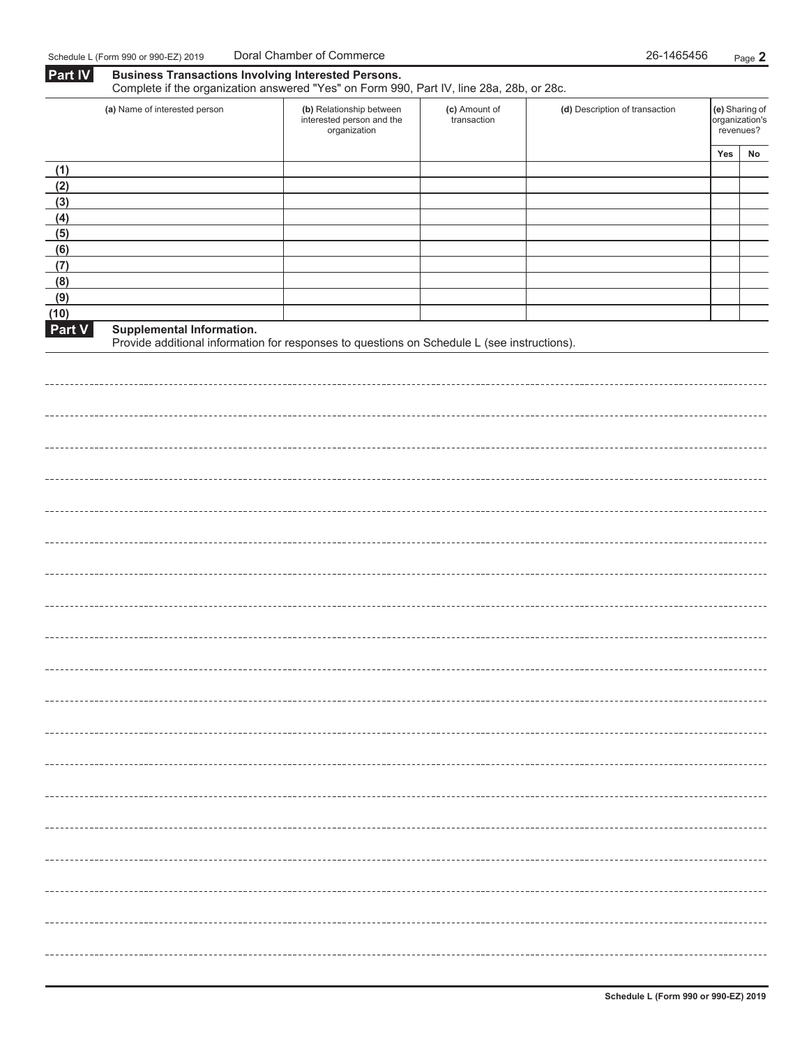| <b>Part IV</b><br><b>Business Transactions Involving Interested Persons.</b><br>Complete if the organization answered "Yes" on Form 990, Part IV, line 28a, 28b, or 28c. |                                                                                                                          |                                                                       |                              |                                |     |                                               |
|--------------------------------------------------------------------------------------------------------------------------------------------------------------------------|--------------------------------------------------------------------------------------------------------------------------|-----------------------------------------------------------------------|------------------------------|--------------------------------|-----|-----------------------------------------------|
|                                                                                                                                                                          | (a) Name of interested person                                                                                            | (b) Relationship between<br>interested person and the<br>organization | (c) Amount of<br>transaction | (d) Description of transaction |     | (e) Sharing of<br>organization's<br>revenues? |
|                                                                                                                                                                          |                                                                                                                          |                                                                       |                              |                                | Yes | No                                            |
| (1)                                                                                                                                                                      |                                                                                                                          |                                                                       |                              |                                |     |                                               |
| (2)                                                                                                                                                                      |                                                                                                                          |                                                                       |                              |                                |     |                                               |
| (3)<br>(4)                                                                                                                                                               |                                                                                                                          |                                                                       |                              |                                |     |                                               |
| (5)                                                                                                                                                                      |                                                                                                                          |                                                                       |                              |                                |     |                                               |
| (6)                                                                                                                                                                      |                                                                                                                          |                                                                       |                              |                                |     |                                               |
| (7)                                                                                                                                                                      |                                                                                                                          |                                                                       |                              |                                |     |                                               |
| (8)                                                                                                                                                                      |                                                                                                                          |                                                                       |                              |                                |     |                                               |
| (9)                                                                                                                                                                      |                                                                                                                          |                                                                       |                              |                                |     |                                               |
| (10)                                                                                                                                                                     |                                                                                                                          |                                                                       |                              |                                |     |                                               |
| <b>Part V</b>                                                                                                                                                            | Supplemental Information.<br>Provide additional information for responses to questions on Schedule L (see instructions). |                                                                       |                              |                                |     |                                               |
|                                                                                                                                                                          |                                                                                                                          |                                                                       |                              |                                |     |                                               |
|                                                                                                                                                                          |                                                                                                                          |                                                                       |                              |                                |     |                                               |
|                                                                                                                                                                          |                                                                                                                          |                                                                       |                              |                                |     |                                               |
|                                                                                                                                                                          |                                                                                                                          |                                                                       |                              |                                |     |                                               |
|                                                                                                                                                                          |                                                                                                                          |                                                                       |                              |                                |     |                                               |
|                                                                                                                                                                          |                                                                                                                          |                                                                       |                              |                                |     |                                               |
|                                                                                                                                                                          |                                                                                                                          |                                                                       |                              |                                |     |                                               |
|                                                                                                                                                                          |                                                                                                                          |                                                                       |                              |                                |     |                                               |
|                                                                                                                                                                          |                                                                                                                          |                                                                       |                              |                                |     |                                               |
|                                                                                                                                                                          |                                                                                                                          |                                                                       |                              |                                |     |                                               |
|                                                                                                                                                                          |                                                                                                                          |                                                                       |                              |                                |     |                                               |
|                                                                                                                                                                          |                                                                                                                          |                                                                       |                              |                                |     |                                               |
|                                                                                                                                                                          |                                                                                                                          |                                                                       |                              |                                |     |                                               |
|                                                                                                                                                                          |                                                                                                                          |                                                                       |                              |                                |     |                                               |
|                                                                                                                                                                          |                                                                                                                          |                                                                       |                              |                                |     |                                               |
|                                                                                                                                                                          |                                                                                                                          |                                                                       |                              |                                |     |                                               |
|                                                                                                                                                                          |                                                                                                                          |                                                                       |                              |                                |     |                                               |
|                                                                                                                                                                          |                                                                                                                          |                                                                       |                              |                                |     |                                               |
|                                                                                                                                                                          |                                                                                                                          |                                                                       |                              |                                |     |                                               |
|                                                                                                                                                                          |                                                                                                                          |                                                                       |                              |                                |     |                                               |
|                                                                                                                                                                          |                                                                                                                          |                                                                       |                              |                                |     |                                               |
|                                                                                                                                                                          |                                                                                                                          |                                                                       |                              |                                |     |                                               |
|                                                                                                                                                                          |                                                                                                                          |                                                                       |                              |                                |     |                                               |
|                                                                                                                                                                          |                                                                                                                          |                                                                       |                              |                                |     |                                               |
|                                                                                                                                                                          |                                                                                                                          |                                                                       |                              |                                |     |                                               |
|                                                                                                                                                                          |                                                                                                                          |                                                                       |                              |                                |     |                                               |
|                                                                                                                                                                          |                                                                                                                          |                                                                       |                              |                                |     |                                               |
|                                                                                                                                                                          |                                                                                                                          |                                                                       |                              |                                |     |                                               |
|                                                                                                                                                                          |                                                                                                                          |                                                                       |                              |                                |     |                                               |
|                                                                                                                                                                          |                                                                                                                          |                                                                       |                              |                                |     |                                               |
|                                                                                                                                                                          |                                                                                                                          |                                                                       |                              |                                |     |                                               |
|                                                                                                                                                                          |                                                                                                                          |                                                                       |                              |                                |     |                                               |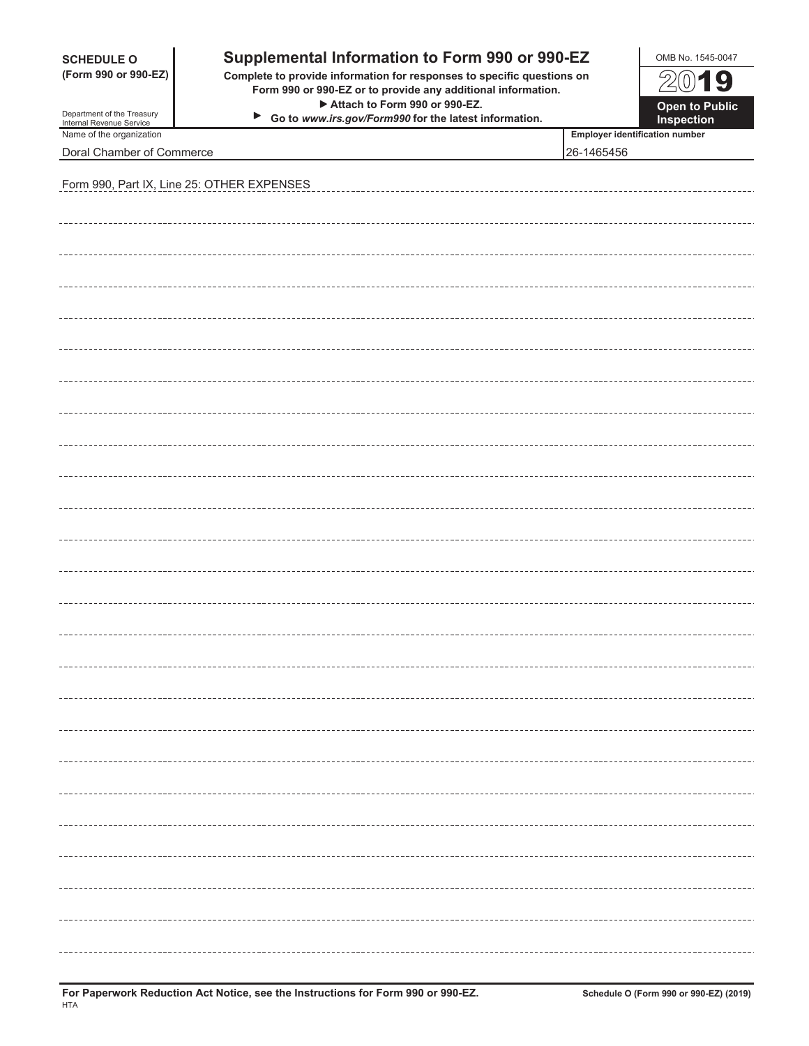| <b>SCHEDULE O</b><br>(Form 990 or 990-EZ)<br>Department of the Treasury | OMB No. 1545-0047<br>2019<br>Open to Public                |                                                     |                   |
|-------------------------------------------------------------------------|------------------------------------------------------------|-----------------------------------------------------|-------------------|
| Internal Revenue Service                                                | ▶<br>Go to www.irs.gov/Form990 for the latest information. |                                                     | <b>Inspection</b> |
| Name of the organization<br>Doral Chamber of Commerce                   |                                                            | <b>Employer identification number</b><br>26-1465456 |                   |
|                                                                         | Form 990, Part IX, Line 25: OTHER EXPENSES                 |                                                     |                   |
|                                                                         |                                                            |                                                     |                   |
|                                                                         |                                                            |                                                     |                   |
|                                                                         |                                                            |                                                     |                   |
|                                                                         |                                                            |                                                     |                   |
|                                                                         |                                                            |                                                     |                   |
|                                                                         |                                                            |                                                     |                   |
|                                                                         |                                                            |                                                     |                   |
|                                                                         |                                                            |                                                     |                   |
|                                                                         |                                                            |                                                     |                   |
|                                                                         |                                                            |                                                     |                   |
|                                                                         |                                                            |                                                     |                   |
|                                                                         |                                                            |                                                     |                   |
|                                                                         |                                                            |                                                     |                   |
|                                                                         |                                                            |                                                     |                   |
|                                                                         |                                                            |                                                     |                   |
|                                                                         |                                                            |                                                     |                   |
|                                                                         |                                                            |                                                     |                   |
|                                                                         |                                                            |                                                     |                   |
|                                                                         |                                                            |                                                     |                   |
|                                                                         |                                                            |                                                     |                   |
|                                                                         |                                                            |                                                     |                   |
|                                                                         |                                                            |                                                     |                   |
|                                                                         |                                                            |                                                     |                   |
|                                                                         |                                                            |                                                     |                   |
|                                                                         |                                                            |                                                     |                   |
|                                                                         |                                                            |                                                     |                   |
|                                                                         |                                                            |                                                     |                   |
|                                                                         |                                                            |                                                     |                   |
|                                                                         |                                                            |                                                     |                   |
|                                                                         |                                                            |                                                     |                   |
|                                                                         |                                                            |                                                     |                   |
|                                                                         |                                                            |                                                     |                   |
|                                                                         |                                                            |                                                     |                   |
|                                                                         |                                                            |                                                     |                   |
|                                                                         |                                                            |                                                     |                   |
|                                                                         |                                                            |                                                     |                   |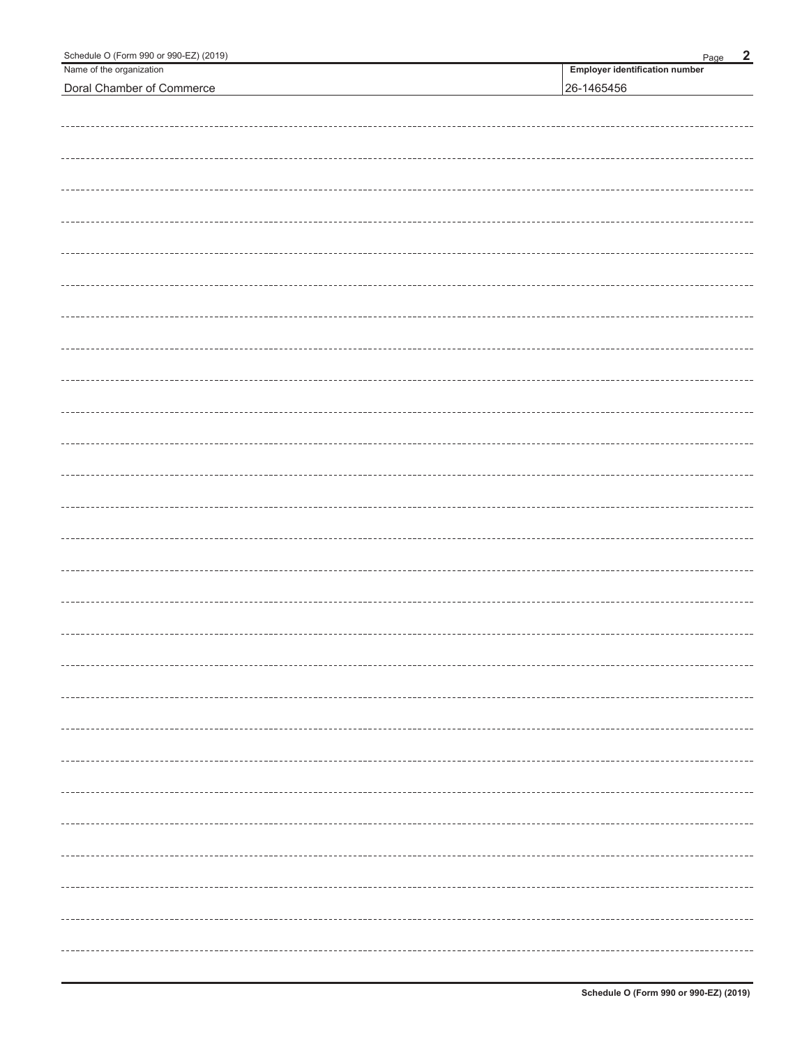| Schedule O (Form 990 or 990-EZ) (2019) | $\overline{2}$<br>Page                |
|----------------------------------------|---------------------------------------|
| Name of the organization               | <b>Employer identification number</b> |
| Doral Chamber of Commerce              | 26-1465456                            |
|                                        |                                       |
|                                        |                                       |
|                                        |                                       |
|                                        |                                       |
|                                        |                                       |
|                                        |                                       |
|                                        |                                       |
|                                        |                                       |
|                                        |                                       |
|                                        |                                       |
|                                        |                                       |
|                                        |                                       |
|                                        |                                       |
|                                        |                                       |
|                                        |                                       |
|                                        |                                       |
|                                        |                                       |
|                                        |                                       |
|                                        |                                       |
|                                        |                                       |
|                                        |                                       |
|                                        |                                       |
|                                        |                                       |
|                                        |                                       |
|                                        |                                       |
|                                        |                                       |
|                                        |                                       |
|                                        |                                       |
|                                        |                                       |
|                                        |                                       |
|                                        |                                       |
|                                        |                                       |
|                                        |                                       |
|                                        |                                       |
|                                        |                                       |
|                                        |                                       |
|                                        |                                       |
|                                        |                                       |
|                                        |                                       |
|                                        |                                       |
|                                        |                                       |
|                                        |                                       |
|                                        |                                       |
|                                        |                                       |
|                                        |                                       |
|                                        |                                       |
|                                        | ----------------                      |
|                                        |                                       |
|                                        |                                       |
|                                        |                                       |
|                                        |                                       |
|                                        |                                       |
|                                        |                                       |
|                                        |                                       |
|                                        |                                       |
|                                        | ---------------                       |
|                                        |                                       |
|                                        |                                       |
|                                        |                                       |
|                                        |                                       |
|                                        |                                       |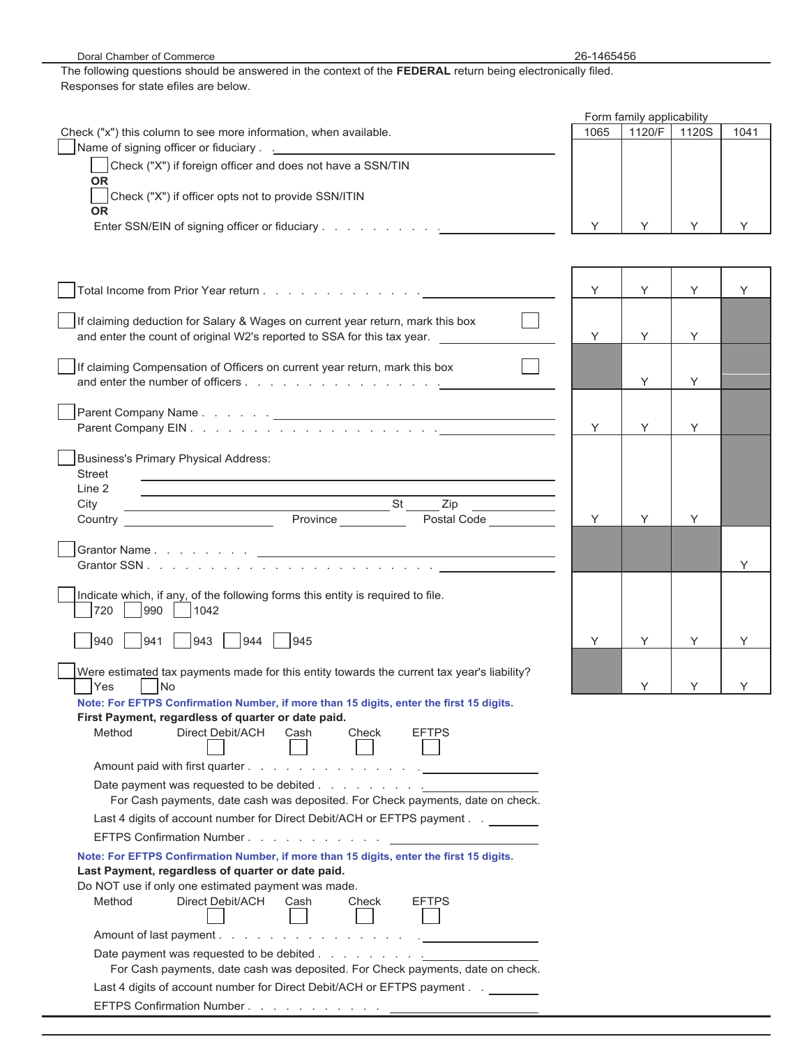| Doral Chamber of Commerce                                                                                                      | 26-1465456 |                           |       |      |
|--------------------------------------------------------------------------------------------------------------------------------|------------|---------------------------|-------|------|
| The following questions should be answered in the context of the FEDERAL return being electronically filed.                    |            |                           |       |      |
| Responses for state efiles are below.                                                                                          |            |                           |       |      |
|                                                                                                                                |            |                           |       |      |
|                                                                                                                                |            | Form family applicability |       |      |
| Check ("x") this column to see more information, when available.                                                               | 1065       | 1120/F                    | 1120S | 1041 |
| Name of signing officer or fiduciary <u>[11] Name of signing</u>                                                               |            |                           |       |      |
| Check ("X") if foreign officer and does not have a SSN/TIN                                                                     |            |                           |       |      |
| <b>OR</b>                                                                                                                      |            |                           |       |      |
| Check ("X") if officer opts not to provide SSN/ITIN                                                                            |            |                           |       |      |
| <b>OR</b>                                                                                                                      |            |                           |       |      |
| Enter SSN/EIN of signing officer or fiduciary                                                                                  | Y          | Y                         | Y     | Y    |
|                                                                                                                                |            |                           |       |      |
|                                                                                                                                |            |                           |       |      |
|                                                                                                                                |            |                           |       |      |
|                                                                                                                                |            |                           |       |      |
|                                                                                                                                | Y          | Y                         | Υ     | Y    |
|                                                                                                                                |            |                           |       |      |
| If claiming deduction for Salary & Wages on current year return, mark this box                                                 |            |                           |       |      |
| and enter the count of original W2's reported to SSA for this tax year.                                                        | Y          | Y                         | Y     |      |
|                                                                                                                                |            |                           |       |      |
| If claiming Compensation of Officers on current year return, mark this box                                                     |            |                           |       |      |
|                                                                                                                                |            | Y                         | Y     |      |
|                                                                                                                                |            |                           |       |      |
|                                                                                                                                |            |                           |       |      |
|                                                                                                                                | Y          | Y                         | Y     |      |
|                                                                                                                                |            |                           |       |      |
| <b>Business's Primary Physical Address:</b>                                                                                    |            |                           |       |      |
| <b>Street</b><br><u> 1989 - Johann Stoff, amerikansk politiker (* 1908)</u>                                                    |            |                           |       |      |
| Line 2<br><u> 1989 - Johann Stein, marwolaethau a bhann an t-Amhair an t-Amhair an t-Amhair an t-Amhair an t-Amhair an t-A</u> |            |                           |       |      |
| $\overline{\phantom{a}}$ St<br>City<br>Zip                                                                                     |            |                           |       |      |
| Province<br>Postal Code <b>Communist Communist Communist Communist</b><br>Country                                              | Y          | Y                         | Y     |      |
|                                                                                                                                |            |                           |       |      |
|                                                                                                                                |            |                           |       |      |
|                                                                                                                                |            |                           |       | Y    |
|                                                                                                                                |            |                           |       |      |
| Indicate which, if any, of the following forms this entity is required to file.                                                |            |                           |       |      |
| 720<br>990<br>1042                                                                                                             |            |                           |       |      |
|                                                                                                                                |            |                           |       |      |
| _ 940  ___ 941  ___ 943  ___ 944  ____ 945                                                                                     | Y          |                           |       |      |
|                                                                                                                                |            |                           |       |      |
| Were estimated tax payments made for this entity towards the current tax year's liability?                                     |            |                           |       |      |
| <b>No</b><br>Yes                                                                                                               |            | Y                         | Y     | Y.   |
| Note: For EFTPS Confirmation Number, if more than 15 digits, enter the first 15 digits.                                        |            |                           |       |      |
| First Payment, regardless of quarter or date paid.                                                                             |            |                           |       |      |
| Direct Debit/ACH<br>Method<br><b>EFTPS</b><br>Cash<br>Check                                                                    |            |                           |       |      |
|                                                                                                                                |            |                           |       |      |
|                                                                                                                                |            |                           |       |      |
|                                                                                                                                |            |                           |       |      |
| For Cash payments, date cash was deposited. For Check payments, date on check.                                                 |            |                           |       |      |
|                                                                                                                                |            |                           |       |      |
| Last 4 digits of account number for Direct Debit/ACH or EFTPS payment ______                                                   |            |                           |       |      |
| EFTPS Confirmation Number <u>_________</u>                                                                                     |            |                           |       |      |
| Note: For EFTPS Confirmation Number, if more than 15 digits, enter the first 15 digits.                                        |            |                           |       |      |
| Last Payment, regardless of quarter or date paid.                                                                              |            |                           |       |      |
| Do NOT use if only one estimated payment was made.                                                                             |            |                           |       |      |
| Direct Debit/ACH<br>Method<br>Cash<br>Check<br><b>EFTPS</b>                                                                    |            |                           |       |      |
|                                                                                                                                |            |                           |       |      |
|                                                                                                                                |            |                           |       |      |
|                                                                                                                                |            |                           |       |      |
|                                                                                                                                |            |                           |       |      |
| For Cash payments, date cash was deposited. For Check payments, date on check.                                                 |            |                           |       |      |
| Last 4 digits of account number for Direct Debit/ACH or EFTPS payment                                                          |            |                           |       |      |
| EFTPS Confirmation Number.                                                                                                     |            |                           |       |      |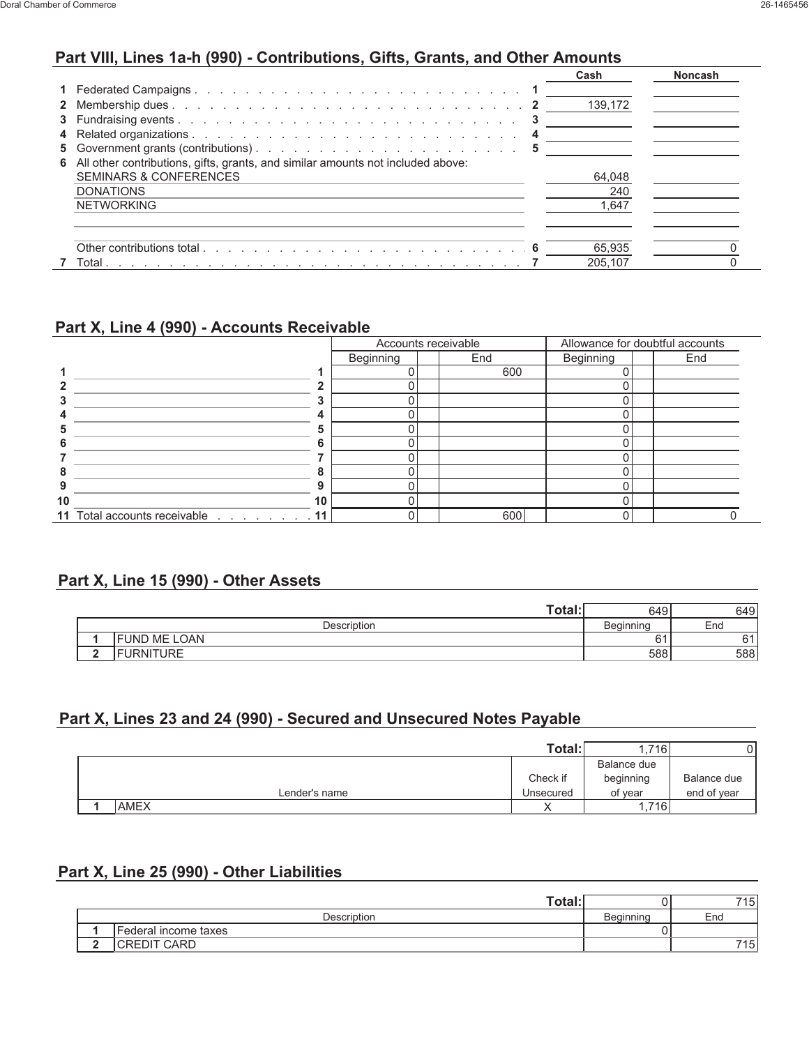#### **Part VIII, Lines 1a-h (990) - Contributions, Gifts, Grants, and Other Amounts**

|                                                                                   | Cash    | Noncash |
|-----------------------------------------------------------------------------------|---------|---------|
|                                                                                   |         |         |
|                                                                                   | 139,172 |         |
|                                                                                   |         |         |
|                                                                                   |         |         |
|                                                                                   |         |         |
| 6 All other contributions, gifts, grants, and similar amounts not included above: |         |         |
| <b>SEMINARS &amp; CONFERENCES</b>                                                 | 64,048  |         |
| <b>DONATIONS</b>                                                                  | 240     |         |
| <b>NETWORKING</b>                                                                 | 1.647   |         |
|                                                                                   |         |         |
|                                                                                   |         |         |
|                                                                                   | 65.935  |         |
|                                                                                   | 205.107 |         |

#### **Part X, Line 4 (990) - Accounts Receivable**

|    |                                 | Accounts receivable |  |     | Allowance for doubtful accounts |     |
|----|---------------------------------|---------------------|--|-----|---------------------------------|-----|
|    |                                 | Beginning           |  | End | Beginning                       | End |
|    |                                 |                     |  | 600 |                                 |     |
|    |                                 |                     |  |     |                                 |     |
|    |                                 |                     |  |     |                                 |     |
|    | 4                               |                     |  |     |                                 |     |
|    | 5                               |                     |  |     |                                 |     |
|    | 6                               |                     |  |     |                                 |     |
|    |                                 |                     |  |     |                                 |     |
|    | 8                               |                     |  |     |                                 |     |
|    | 9                               |                     |  |     |                                 |     |
| 10 | 10                              |                     |  |     |                                 |     |
|    | 11 Total accounts receivable 11 |                     |  | 600 |                                 |     |

#### **Part X, Line 15 (990) - Other Assets**

| Total:               | 649              | 649      |
|----------------------|------------------|----------|
| Description          | <b>Beginning</b> | End      |
| <b>IFUND ME LOAN</b> |                  | $\sim$ 1 |
| <b>IFURNITURE</b>    | 588              | 588      |

#### **Part X, Lines 23 and 24 (990) - Secured and Unsecured Notes Payable**

|             |               | Total:    | . 716       |             |
|-------------|---------------|-----------|-------------|-------------|
|             |               |           | Balance due |             |
|             |               | Check if  | beginning   | Balance due |
|             | Lender's name | Unsecured | of vear     | end of year |
| <b>AMEX</b> |               |           | 1,716       |             |

#### **Part X, Line 25 (990) - Other Liabilities**

| Totaı                |           | 715  |
|----------------------|-----------|------|
| <b>Description</b>   | Beainnina | End  |
| Federal income taxes |           |      |
| CREDIT CARD          |           | 7151 |